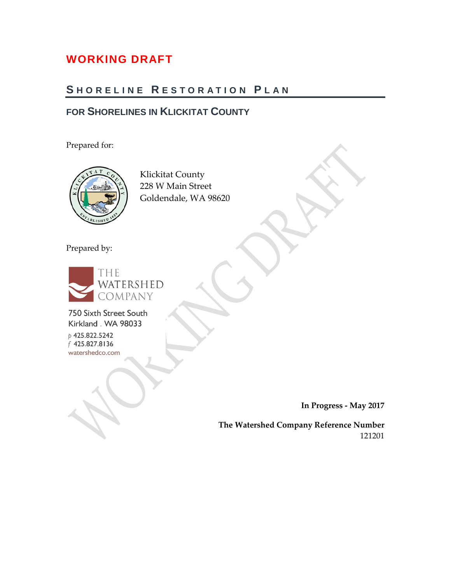## **WORKING DRAFT**

## **S HORELINE R ESTORATION P LAN**

## **FOR SHORELINES IN KLICKITAT COUNTY**

Prepared for:



Klickitat County 228 W Main Street Goldendale, WA 98620

Prepared by:



750 Sixth Street South Kirkland . WA 98033

p 425.822.5242 f 425.827.8136 watershedco.com

**In Progress - May 2017**

**The Watershed Company Reference Number** 121201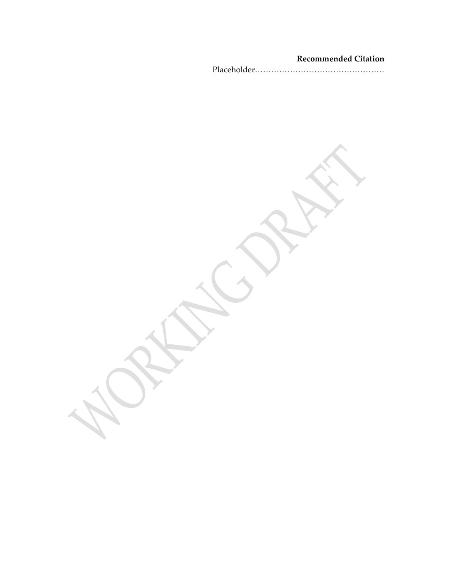#### **Recommended Citation**

Placeholder…………………………………………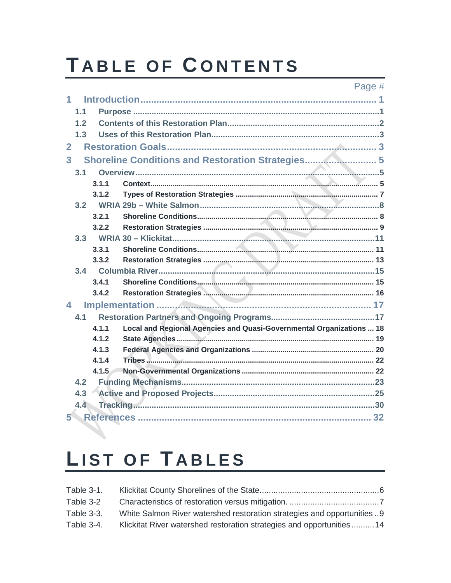# TABLE OF CONTENTS

#### Page #

|                | 1.1              |       |                                                                      |  |
|----------------|------------------|-------|----------------------------------------------------------------------|--|
|                | 1.2              |       |                                                                      |  |
|                | 1.3              |       |                                                                      |  |
| $\overline{2}$ |                  |       |                                                                      |  |
| 3              |                  |       | Shoreline Conditions and Restoration Strategies 5                    |  |
|                |                  |       |                                                                      |  |
|                | 3.1              | 3.1.1 |                                                                      |  |
|                |                  |       |                                                                      |  |
|                |                  | 3.1.2 |                                                                      |  |
|                | 3.2              |       |                                                                      |  |
|                |                  | 3.2.1 |                                                                      |  |
|                |                  | 3.2.2 |                                                                      |  |
|                | 3.3              |       |                                                                      |  |
|                |                  | 3.3.1 |                                                                      |  |
|                |                  | 3.3.2 |                                                                      |  |
|                | 3.4              |       |                                                                      |  |
|                |                  | 3.4.1 |                                                                      |  |
|                |                  | 3.4.2 |                                                                      |  |
| 4              |                  |       |                                                                      |  |
|                | 4.1              |       |                                                                      |  |
|                |                  | 4.1.1 | Local and Regional Agencies and Quasi-Governmental Organizations  18 |  |
|                |                  | 4.1.2 |                                                                      |  |
|                |                  | 4.1.3 |                                                                      |  |
|                |                  | 4.1.4 |                                                                      |  |
|                |                  | 4.1.5 |                                                                      |  |
|                | 4.2              |       |                                                                      |  |
|                | 4.3              |       |                                                                      |  |
|                | $4.\overline{4}$ |       |                                                                      |  |
| 5.             |                  |       |                                                                      |  |
|                |                  |       |                                                                      |  |
|                |                  |       |                                                                      |  |

# LIST OF TABLES

| Table 3-1. |                                                                        |  |
|------------|------------------------------------------------------------------------|--|
| Table 3-2  |                                                                        |  |
| Table 3-3. | White Salmon River watershed restoration strategies and opportunities9 |  |
| Table 3-4. | Klickitat River watershed restoration strategies and opportunities14   |  |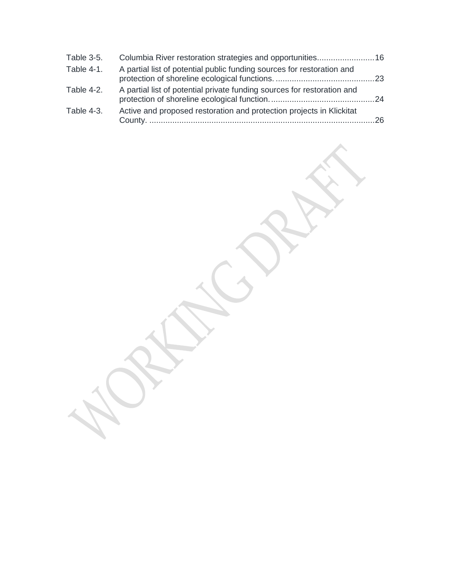| Table 3-5. | Columbia River restoration strategies and opportunities16               |    |
|------------|-------------------------------------------------------------------------|----|
| Table 4-1. | A partial list of potential public funding sources for restoration and  |    |
| Table 4-2. | A partial list of potential private funding sources for restoration and |    |
| Table 4-3. | Active and proposed restoration and protection projects in Klickitat    | 26 |

 $\boldsymbol{\lambda}$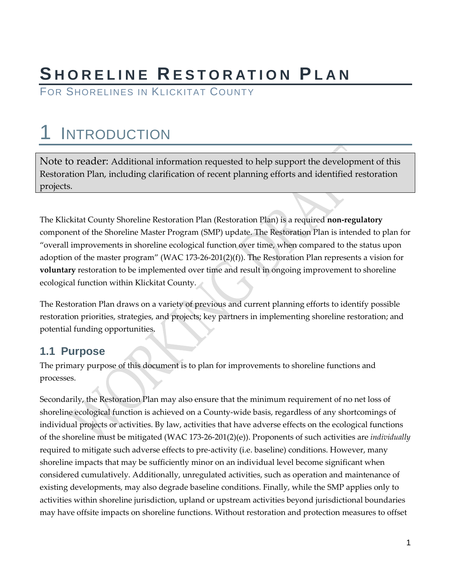# **S HORELINE R ESTORATION PLAN**

FOR SHORELINES IN KLICKITAT COUNTY

# <span id="page-6-0"></span>**INTRODUCTION**

Note to reader: Additional information requested to help support the development of this Restoration Plan, including clarification of recent planning efforts and identified restoration projects.

The Klickitat County Shoreline Restoration Plan (Restoration Plan) is a required **non-regulatory** component of the Shoreline Master Program (SMP) update. The Restoration Plan is intended to plan for "overall improvements in shoreline ecological function over time, when compared to the status upon adoption of the master program" (WAC 173-26-201(2)(f)). The Restoration Plan represents a vision for **voluntary** restoration to be implemented over time and result in ongoing improvement to shoreline ecological function within Klickitat County.

The Restoration Plan draws on a variety of previous and current planning efforts to identify possible restoration priorities, strategies, and projects; key partners in implementing shoreline restoration; and potential funding opportunities.

### <span id="page-6-1"></span>**1.1 Purpose**

The primary purpose of this document is to plan for improvements to shoreline functions and processes.

Secondarily, the Restoration Plan may also ensure that the minimum requirement of no net loss of shoreline ecological function is achieved on a County-wide basis, regardless of any shortcomings of individual projects or activities. By law, activities that have adverse effects on the ecological functions of the shoreline must be mitigated (WAC 173-26-201(2)(e)). Proponents of such activities are *individually*  required to mitigate such adverse effects to pre-activity (i.e. baseline) conditions. However, many shoreline impacts that may be sufficiently minor on an individual level become significant when considered cumulatively. Additionally, unregulated activities, such as operation and maintenance of existing developments, may also degrade baseline conditions. Finally, while the SMP applies only to activities within shoreline jurisdiction, upland or upstream activities beyond jurisdictional boundaries may have offsite impacts on shoreline functions. Without restoration and protection measures to offset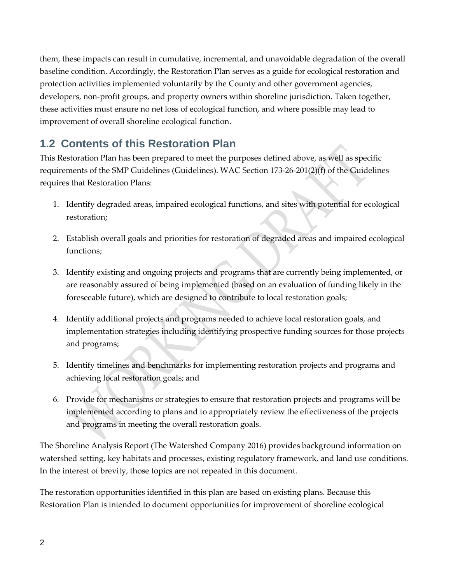them, these impacts can result in cumulative, incremental, and unavoidable degradation of the overall baseline condition. Accordingly, the Restoration Plan serves as a guide for ecological restoration and protection activities implemented voluntarily by the County and other government agencies, developers, non-profit groups, and property owners within shoreline jurisdiction. Taken together, these activities must ensure no net loss of ecological function, and where possible may lead to improvement of overall shoreline ecological function.

## <span id="page-7-0"></span>**1.2 Contents of this Restoration Plan**

This Restoration Plan has been prepared to meet the purposes defined above, as well as specific requirements of the SMP Guidelines (Guidelines). WAC Section 173-26-201(2)(f) of the Guidelines requires that Restoration Plans:

- 1. Identify degraded areas, impaired ecological functions, and sites with potential for ecological restoration;
- 2. Establish overall goals and priorities for restoration of degraded areas and impaired ecological functions;
- 3. Identify existing and ongoing projects and programs that are currently being implemented, or are reasonably assured of being implemented (based on an evaluation of funding likely in the foreseeable future), which are designed to contribute to local restoration goals;
- 4. Identify additional projects and programs needed to achieve local restoration goals, and implementation strategies including identifying prospective funding sources for those projects and programs;
- 5. Identify timelines and benchmarks for implementing restoration projects and programs and achieving local restoration goals; and
- 6. Provide for mechanisms or strategies to ensure that restoration projects and programs will be implemented according to plans and to appropriately review the effectiveness of the projects and programs in meeting the overall restoration goals.

The Shoreline Analysis Report (The Watershed Company 2016) provides background information on watershed setting, key habitats and processes, existing regulatory framework, and land use conditions. In the interest of brevity, those topics are not repeated in this document.

The restoration opportunities identified in this plan are based on existing plans. Because this Restoration Plan is intended to document opportunities for improvement of shoreline ecological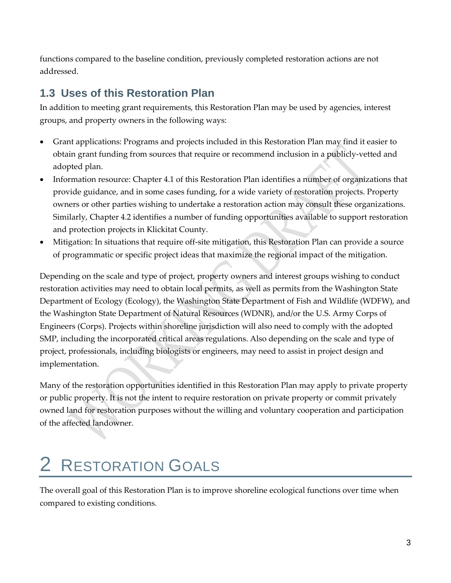functions compared to the baseline condition, previously completed restoration actions are not addressed.

## <span id="page-8-0"></span>**1.3 Uses of this Restoration Plan**

In addition to meeting grant requirements, this Restoration Plan may be used by agencies, interest groups, and property owners in the following ways:

- Grant applications: Programs and projects included in this Restoration Plan may find it easier to obtain grant funding from sources that require or recommend inclusion in a publicly-vetted and adopted plan.
- Information resource: Chapter 4.1 of this Restoration Plan identifies a number of organizations that provide guidance, and in some cases funding, for a wide variety of restoration projects. Property owners or other parties wishing to undertake a restoration action may consult these organizations. Similarly, Chapter 4.2 identifies a number of funding opportunities available to support restoration and protection projects in Klickitat County.
- Mitigation: In situations that require off-site mitigation, this Restoration Plan can provide a source of programmatic or specific project ideas that maximize the regional impact of the mitigation.

Depending on the scale and type of project, property owners and interest groups wishing to conduct restoration activities may need to obtain local permits, as well as permits from the Washington State Department of Ecology (Ecology), the Washington State Department of Fish and Wildlife (WDFW), and the Washington State Department of Natural Resources (WDNR), and/or the U.S. Army Corps of Engineers (Corps). Projects within shoreline jurisdiction will also need to comply with the adopted SMP, including the incorporated critical areas regulations. Also depending on the scale and type of project, professionals, including biologists or engineers, may need to assist in project design and implementation.

Many of the restoration opportunities identified in this Restoration Plan may apply to private property or public property. It is not the intent to require restoration on private property or commit privately owned land for restoration purposes without the willing and voluntary cooperation and participation of the affected landowner.

# <span id="page-8-1"></span>**RESTORATION GOALS**

The overall goal of this Restoration Plan is to improve shoreline ecological functions over time when compared to existing conditions.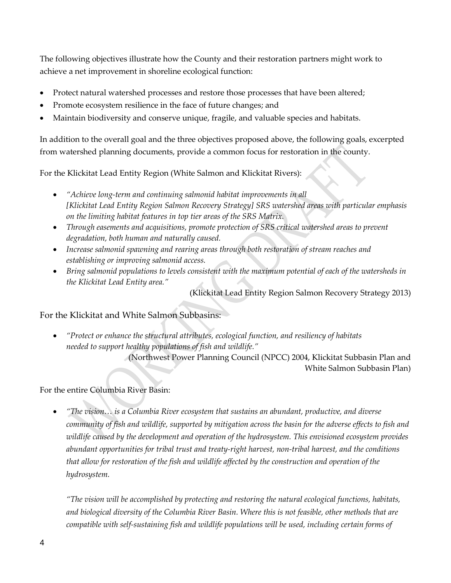The following objectives illustrate how the County and their restoration partners might work to achieve a net improvement in shoreline ecological function:

- Protect natural watershed processes and restore those processes that have been altered;
- Promote ecosystem resilience in the face of future changes; and
- Maintain biodiversity and conserve unique, fragile, and valuable species and habitats.

In addition to the overall goal and the three objectives proposed above, the following goals, excerpted from watershed planning documents, provide a common focus for restoration in the county.

For the Klickitat Lead Entity Region (White Salmon and Klickitat Rivers):

- *"Achieve long-term and continuing salmonid habitat improvements in all [Klickitat Lead Entity Region Salmon Recovery Strategy] SRS watershed areas with particular emphasis on the limiting habitat features in top tier areas of the SRS Matrix.*
- *Through easements and acquisitions, promote protection of SRS critical watershed areas to prevent degradation, both human and naturally caused.*
- *Increase salmonid spawning and rearing areas through both restoration of stream reaches and establishing or improving salmonid access.*
- *Bring salmonid populations to levels consistent with the maximum potential of each of the watersheds in the Klickitat Lead Entity area."*

(Klickitat Lead Entity Region Salmon Recovery Strategy 2013)

For the Klickitat and White Salmon Subbasins:

• *"Protect or enhance the structural attributes, ecological function, and resiliency of habitats needed to support healthy populations of fish and wildlife."*

> (Northwest Power Planning Council (NPCC) 2004, Klickitat Subbasin Plan and White Salmon Subbasin Plan)

For the entire Columbia River Basin:

• *"The vision… is a Columbia River ecosystem that sustains an abundant, productive, and diverse community of fish and wildlife, supported by mitigation across the basin for the adverse effects to fish and wildlife caused by the development and operation of the hydrosystem. This envisioned ecosystem provides abundant opportunities for tribal trust and treaty-right harvest, non-tribal harvest, and the conditions that allow for restoration of the fish and wildlife affected by the construction and operation of the hydrosystem.*

*"The vision will be accomplished by protecting and restoring the natural ecological functions, habitats, and biological diversity of the Columbia River Basin. Where this is not feasible, other methods that are compatible with self-sustaining fish and wildlife populations will be used, including certain forms of*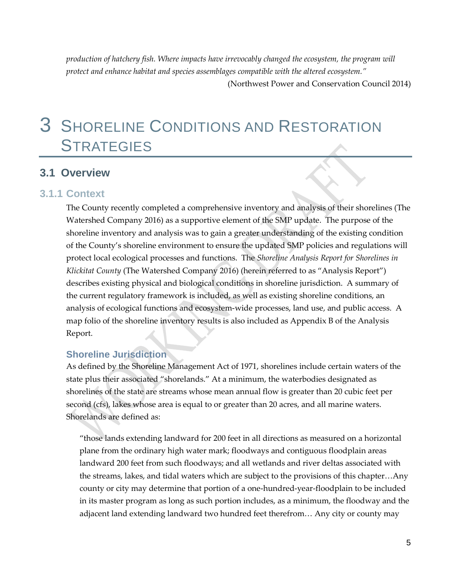*production of hatchery fish. Where impacts have irrevocably changed the ecosystem, the program will protect and enhance habitat and species assemblages compatible with the altered ecosystem."*  (Northwest Power and Conservation Council 2014)

## <span id="page-10-0"></span>3 SHORELINE CONDITIONS AND RESTORATION **STRATEGIES**

#### <span id="page-10-1"></span>**3.1 Overview**

#### <span id="page-10-2"></span>**3.1.1 Context**

The County recently completed a comprehensive inventory and analysis of their shorelines (The Watershed Company 2016) as a supportive element of the SMP update. The purpose of the shoreline inventory and analysis was to gain a greater understanding of the existing condition of the County's shoreline environment to ensure the updated SMP policies and regulations will protect local ecological processes and functions. The *Shoreline Analysis Report for Shorelines in Klickitat County* (The Watershed Company 2016) (herein referred to as "Analysis Report") describes existing physical and biological conditions in shoreline jurisdiction. A summary of the current regulatory framework is included, as well as existing shoreline conditions, an analysis of ecological functions and ecosystem-wide processes, land use, and public access. A map folio of the shoreline inventory results is also included as Appendix B of the Analysis Report.

#### **Shoreline Jurisdiction**

As defined by the Shoreline Management Act of 1971, shorelines include certain waters of the state plus their associated "shorelands." At a minimum, the waterbodies designated as shorelines of the state are streams whose mean annual flow is greater than 20 cubic feet per second (cfs), lakes whose area is equal to or greater than 20 acres, and all marine waters. Shorelands are defined as:

"those lands extending landward for 200 feet in all directions as measured on a horizontal plane from the ordinary high water mark; floodways and contiguous floodplain areas landward 200 feet from such floodways; and all wetlands and river deltas associated with the streams, lakes, and tidal waters which are subject to the provisions of this chapter…Any county or city may determine that portion of a one-hundred-year-floodplain to be included in its master program as long as such portion includes, as a minimum, the floodway and the adjacent land extending landward two hundred feet therefrom… Any city or county may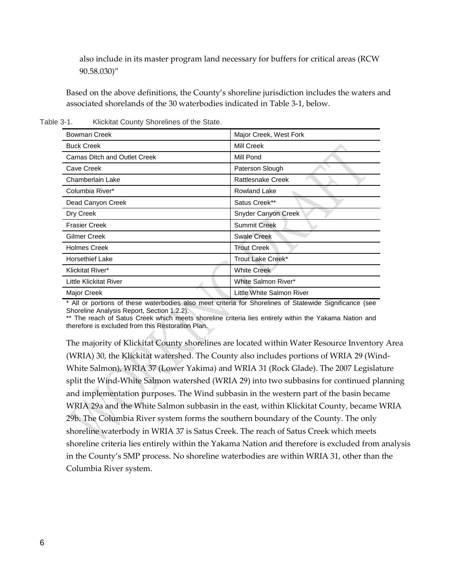also include in its master program land necessary for buffers for critical areas (RCW 90.58.030)"

Based on the above definitions, the County's shoreline jurisdiction includes the waters and associated shorelands of the 30 waterbodies indicated in Table 3-1, below.

<span id="page-11-0"></span>Table 3-1. Klickitat County Shorelines of the State.

| <b>Bowman Creek</b>                 | Major Creek, West Fork     |
|-------------------------------------|----------------------------|
| <b>Buck Creek</b>                   | Mill Creek                 |
| <b>Camas Ditch and Outlet Creek</b> | Mill Pond                  |
| Cave Creek                          | Paterson Slough            |
| Chamberlain Lake                    | <b>Rattlesnake Creek</b>   |
| Columbia River*                     | Rowland Lake               |
| Dead Canyon Creek                   | Satus Creek**              |
| Dry Creek                           | <b>Snyder Canyon Creek</b> |
| <b>Frasier Creek</b>                | <b>Summit Creek</b>        |
| Gilmer Creek                        | <b>Swale Creek</b>         |
| <b>Holmes Creek</b>                 | <b>Trout Creek</b>         |
| <b>Horsethief Lake</b>              | Trout Lake Creek*          |
| Klickitat River*                    | <b>White Creek</b>         |
| Little Klickitat River              | White Salmon River*        |
| Major Creek                         | Little White Salmon River  |

\* All or portions of these waterbodies also meet criteria for Shorelines of Statewide Significance (see Shoreline Analysis Report, Section 1.2.2).

\*\* The reach of Satus Creek which meets shoreline criteria lies entirely within the Yakama Nation and therefore is excluded from this Restoration Plan.

The majority of Klickitat County shorelines are located within Water Resource Inventory Area (WRIA) 30, the Klickitat watershed. The County also includes portions of WRIA 29 (Wind-White Salmon), WRIA 37 (Lower Yakima) and WRIA 31 (Rock Glade). The 2007 Legislature split the Wind-White Salmon watershed (WRIA 29) into two subbasins for continued planning and implementation purposes. The Wind subbasin in the western part of the basin became WRIA 29a and the White Salmon subbasin in the east, within Klickitat County, became WRIA 29b. The Columbia River system forms the southern boundary of the County. The only shoreline waterbody in WRIA 37 is Satus Creek. The reach of Satus Creek which meets shoreline criteria lies entirely within the Yakama Nation and therefore is excluded from analysis in the County's SMP process. No shoreline waterbodies are within WRIA 31, other than the Columbia River system.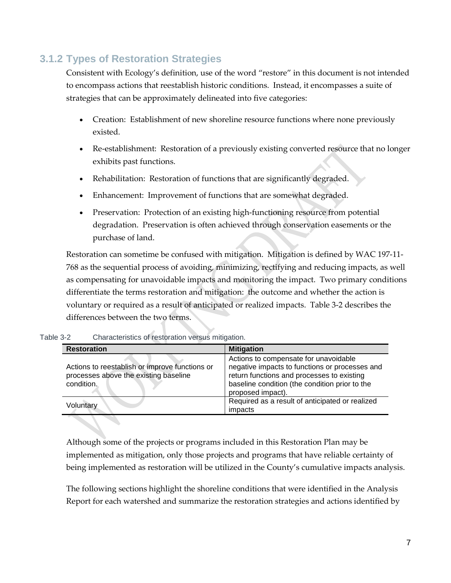## <span id="page-12-0"></span>**3.1.2 Types of Restoration Strategies**

Consistent with Ecology's definition, use of the word "restore" in this document is not intended to encompass actions that reestablish historic conditions. Instead, it encompasses a suite of strategies that can be approximately delineated into five categories:

- Creation: Establishment of new shoreline resource functions where none previously existed.
- Re-establishment: Restoration of a previously existing converted resource that no longer exhibits past functions.
- Rehabilitation: Restoration of functions that are significantly degraded.
- Enhancement: Improvement of functions that are somewhat degraded.
- Preservation: Protection of an existing high-functioning resource from potential degradation. Preservation is often achieved through conservation easements or the purchase of land.

Restoration can sometime be confused with mitigation. Mitigation is defined by WAC 197-11- 768 as the sequential process of avoiding, minimizing, rectifying and reducing impacts, as well as compensating for unavoidable impacts and monitoring the impact. Two primary conditions differentiate the terms restoration and mitigation: the outcome and whether the action is voluntary or required as a result of anticipated or realized impacts. Table 3-2 describes the differences between the two terms.

| <b>Restoration</b>                                                                                    | <b>Mitigation</b>                                                                                                                                                                                            |
|-------------------------------------------------------------------------------------------------------|--------------------------------------------------------------------------------------------------------------------------------------------------------------------------------------------------------------|
| Actions to reestablish or improve functions or<br>processes above the existing baseline<br>condition. | Actions to compensate for unavoidable<br>negative impacts to functions or processes and<br>return functions and processes to existing<br>baseline condition (the condition prior to the<br>proposed impact). |
| Voluntary                                                                                             | Required as a result of anticipated or realized<br>impacts                                                                                                                                                   |

<span id="page-12-1"></span>Table 3-2 Characteristics of restoration versus mitigation.

Although some of the projects or programs included in this Restoration Plan may be implemented as mitigation, only those projects and programs that have reliable certainty of being implemented as restoration will be utilized in the County's cumulative impacts analysis.

The following sections highlight the shoreline conditions that were identified in the Analysis Report for each watershed and summarize the restoration strategies and actions identified by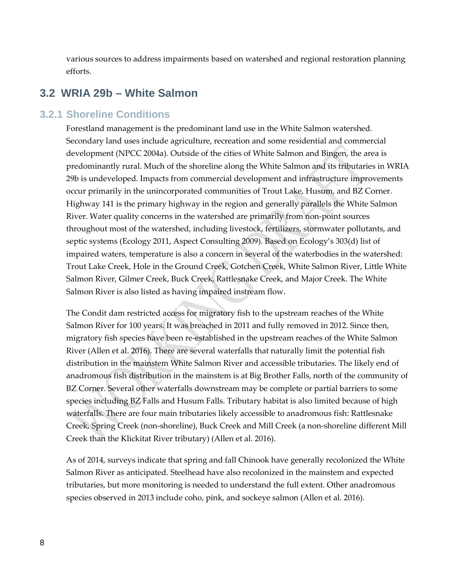various sources to address impairments based on watershed and regional restoration planning efforts.

### <span id="page-13-0"></span>**3.2 WRIA 29b – White Salmon**

#### <span id="page-13-1"></span>**3.2.1 Shoreline Conditions**

Forestland management is the predominant land use in the White Salmon watershed. Secondary land uses include agriculture, recreation and some residential and commercial development (NPCC 2004a). Outside of the cities of White Salmon and Bingen, the area is predominantly rural. Much of the shoreline along the White Salmon and its tributaries in WRIA 29b is undeveloped. Impacts from commercial development and infrastructure improvements occur primarily in the unincorporated communities of Trout Lake, Husum, and BZ Corner. Highway 141 is the primary highway in the region and generally parallels the White Salmon River. Water quality concerns in the watershed are primarily from non-point sources throughout most of the watershed, including livestock, fertilizers, stormwater pollutants, and septic systems (Ecology 2011, Aspect Consulting 2009). Based on Ecology's 303(d) list of impaired waters, temperature is also a concern in several of the waterbodies in the watershed: Trout Lake Creek, Hole in the Ground Creek, Gotchen Creek, White Salmon River, Little White Salmon River, Gilmer Creek, Buck Creek, Rattlesnake Creek, and Major Creek. The White Salmon River is also listed as having impaired instream flow.

The Condit dam restricted access for migratory fish to the upstream reaches of the White Salmon River for 100 years. It was breached in 2011 and fully removed in 2012. Since then, migratory fish species have been re-established in the upstream reaches of the White Salmon River (Allen et al. 2016). There are several waterfalls that naturally limit the potential fish distribution in the mainstem White Salmon River and accessible tributaries. The likely end of anadromous fish distribution in the mainstem is at Big Brother Falls, north of the community of BZ Corner. Several other waterfalls downstream may be complete or partial barriers to some species including BZ Falls and Husum Falls. Tributary habitat is also limited because of high waterfalls. There are four main tributaries likely accessible to anadromous fish: Rattlesnake Creek, Spring Creek (non-shoreline), Buck Creek and Mill Creek (a non-shoreline different Mill Creek than the Klickitat River tributary) (Allen et al. 2016).

As of 2014, surveys indicate that spring and fall Chinook have generally recolonized the White Salmon River as anticipated. Steelhead have also recolonized in the mainstem and expected tributaries, but more monitoring is needed to understand the full extent. Other anadromous species observed in 2013 include coho, pink, and sockeye salmon (Allen et al. 2016).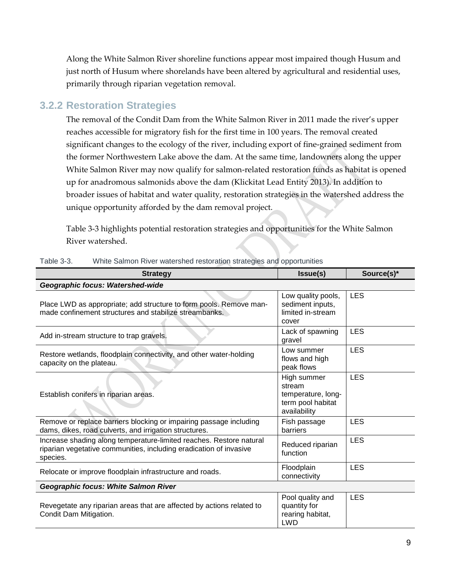Along the White Salmon River shoreline functions appear most impaired though Husum and just north of Husum where shorelands have been altered by agricultural and residential uses, primarily through riparian vegetation removal.

### <span id="page-14-0"></span>**3.2.2 Restoration Strategies**

The removal of the Condit Dam from the White Salmon River in 2011 made the river's upper reaches accessible for migratory fish for the first time in 100 years. The removal created significant changes to the ecology of the river, including export of fine-grained sediment from the former Northwestern Lake above the dam. At the same time, landowners along the upper White Salmon River may now qualify for salmon-related restoration funds as habitat is opened up for anadromous salmonids above the dam (Klickitat Lead Entity 2013). In addition to broader issues of habitat and water quality, restoration strategies in the watershed address the unique opportunity afforded by the dam removal project.

Table 3-3 highlights potential restoration strategies and opportunities for the White Salmon River watershed.

| <b>Strategy</b>                                                                                                                                       | <b>Issue(s)</b>                                                                  | Source(s)* |
|-------------------------------------------------------------------------------------------------------------------------------------------------------|----------------------------------------------------------------------------------|------------|
| Geographic focus: Watershed-wide                                                                                                                      |                                                                                  |            |
| Place LWD as appropriate; add structure to form pools. Remove man-<br>made confinement structures and stabilize streambanks.                          | Low quality pools,<br>sediment inputs,<br>limited in-stream<br>cover             | <b>LES</b> |
| Add in-stream structure to trap gravels.                                                                                                              | Lack of spawning<br>gravel                                                       | <b>LES</b> |
| Restore wetlands, floodplain connectivity, and other water-holding<br>capacity on the plateau.                                                        | Low summer<br>flows and high<br>peak flows                                       | <b>LES</b> |
| Establish conifers in riparian areas.                                                                                                                 | High summer<br>stream<br>temperature, long-<br>term pool habitat<br>availability | <b>LES</b> |
| Remove or replace barriers blocking or impairing passage including<br>dams, dikes, road culverts, and irrigation structures.                          | Fish passage<br>barriers                                                         | <b>LES</b> |
| Increase shading along temperature-limited reaches. Restore natural<br>riparian vegetative communities, including eradication of invasive<br>species. | Reduced riparian<br>function                                                     | <b>LES</b> |
| Relocate or improve floodplain infrastructure and roads.                                                                                              | Floodplain<br>connectivity                                                       | <b>LES</b> |
| <b>Geographic focus: White Salmon River</b>                                                                                                           |                                                                                  |            |
| Revegetate any riparian areas that are affected by actions related to<br>Condit Dam Mitigation.                                                       | Pool quality and<br>quantity for<br>rearing habitat,<br><b>LWD</b>               | <b>LES</b> |

#### <span id="page-14-1"></span>Table 3-3. White Salmon River watershed restoration strategies and opportunities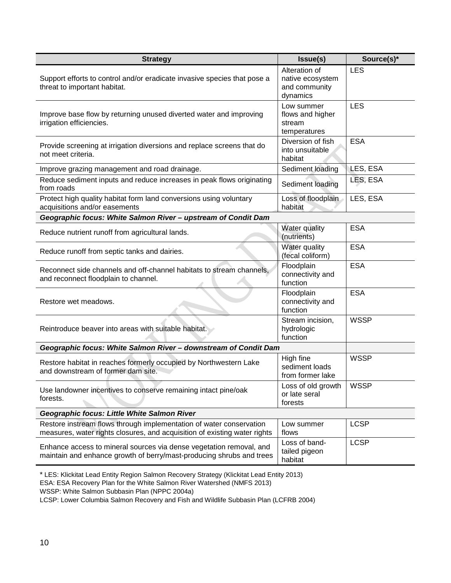| <b>Strategy</b>                                                                                                                                  | Issue(s)                                                       | Source(s)*  |
|--------------------------------------------------------------------------------------------------------------------------------------------------|----------------------------------------------------------------|-------------|
| Support efforts to control and/or eradicate invasive species that pose a<br>threat to important habitat.                                         | Alteration of<br>native ecosystem<br>and community<br>dynamics | <b>LES</b>  |
| Improve base flow by returning unused diverted water and improving<br>irrigation efficiencies.                                                   | Low summer<br>flows and higher<br>stream<br>temperatures       | <b>LES</b>  |
| Provide screening at irrigation diversions and replace screens that do<br>not meet criteria.                                                     | Diversion of fish<br>into unsuitable<br>habitat                | <b>ESA</b>  |
| Improve grazing management and road drainage.                                                                                                    | Sediment loading                                               | LES, ESA    |
| Reduce sediment inputs and reduce increases in peak flows originating<br>from roads                                                              | Sediment loading                                               | LES, ESA    |
| Protect high quality habitat form land conversions using voluntary<br>acquisitions and/or easements                                              | Loss of floodplain<br>habitat                                  | LES, ESA    |
| Geographic focus: White Salmon River - upstream of Condit Dam                                                                                    |                                                                |             |
| Reduce nutrient runoff from agricultural lands.                                                                                                  | Water quality<br>(nutrients)                                   | <b>ESA</b>  |
| Reduce runoff from septic tanks and dairies.                                                                                                     | Water quality<br>(fecal coliform)                              | <b>ESA</b>  |
| Reconnect side channels and off-channel habitats to stream channels,<br>and reconnect floodplain to channel.                                     | Floodplain<br>connectivity and<br>function                     | <b>ESA</b>  |
| Restore wet meadows.                                                                                                                             | Floodplain<br>connectivity and<br>function                     | <b>ESA</b>  |
| Reintroduce beaver into areas with suitable habitat.                                                                                             | Stream incision,<br>hydrologic<br>function                     | <b>WSSP</b> |
| Geographic focus: White Salmon River - downstream of Condit Dam                                                                                  |                                                                |             |
| Restore habitat in reaches formerly occupied by Northwestern Lake<br>and downstream of former dam site.                                          | High fine<br>sediment loads<br>from former lake                | <b>WSSP</b> |
| Use landowner incentives to conserve remaining intact pine/oak<br>forests.                                                                       | Loss of old growth<br>or late seral<br>forests                 | <b>WSSP</b> |
| Geographic focus: Little White Salmon River                                                                                                      |                                                                |             |
| Restore instream flows through implementation of water conservation<br>measures, water rights closures, and acquisition of existing water rights | Low summer<br>flows                                            | <b>LCSP</b> |
| Enhance access to mineral sources via dense vegetation removal, and<br>maintain and enhance growth of berry/mast-producing shrubs and trees      | Loss of band-<br>tailed pigeon<br>habitat                      | <b>LCSP</b> |

<sup>\*</sup> LES: Klickitat Lead Entity Region Salmon Recovery Strategy (Klickitat Lead Entity 2013)

ESA: ESA Recovery Plan for the White Salmon River Watershed (NMFS 2013)

LCSP: Lower Columbia Salmon Recovery and Fish and Wildlife Subbasin Plan (LCFRB 2004)

WSSP: White Salmon Subbasin Plan (NPPC 2004a)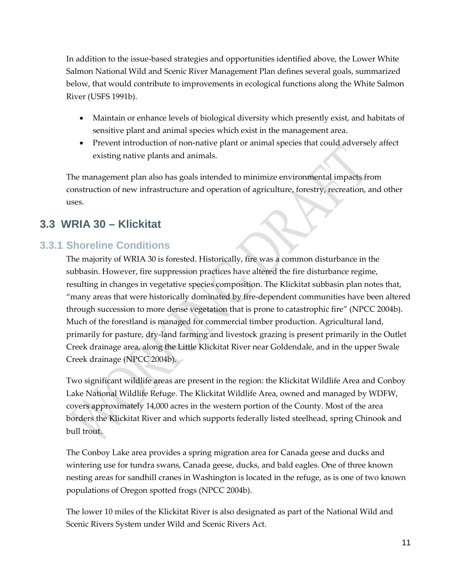In addition to the issue-based strategies and opportunities identified above, the Lower White Salmon National Wild and Scenic River Management Plan defines several goals, summarized below, that would contribute to improvements in ecological functions along the White Salmon River (USFS 1991b).

- Maintain or enhance levels of biological diversity which presently exist, and habitats of sensitive plant and animal species which exist in the management area.
- Prevent introduction of non-native plant or animal species that could adversely affect existing native plants and animals.

The management plan also has goals intended to minimize environmental impacts from construction of new infrastructure and operation of agriculture, forestry, recreation, and other uses.

## <span id="page-16-0"></span>**3.3 WRIA 30 – Klickitat**

### <span id="page-16-1"></span>**3.3.1 Shoreline Conditions**

The majority of WRIA 30 is forested. Historically, fire was a common disturbance in the subbasin. However, fire suppression practices have altered the fire disturbance regime, resulting in changes in vegetative species composition. The Klickitat subbasin plan notes that, "many areas that were historically dominated by fire-dependent communities have been altered through succession to more dense vegetation that is prone to catastrophic fire" (NPCC 2004b). Much of the forestland is managed for commercial timber production. Agricultural land, primarily for pasture, dry-land farming and livestock grazing is present primarily in the Outlet Creek drainage area, along the Little Klickitat River near Goldendale, and in the upper Swale Creek drainage (NPCC 2004b).

Two significant wildlife areas are present in the region: the Klickitat Wildlife Area and Conboy Lake National Wildlife Refuge. The Klickitat Wildlife Area, owned and managed by WDFW, covers approximately 14,000 acres in the western portion of the County. Most of the area borders the Klickitat River and which supports federally listed steelhead, spring Chinook and bull trout.

The Conboy Lake area provides a spring migration area for Canada geese and ducks and wintering use for tundra swans, Canada geese, ducks, and bald eagles. One of three known nesting areas for sandhill cranes in Washington is located in the refuge, as is one of two known populations of Oregon spotted frogs (NPCC 2004b).

The lower 10 miles of the Klickitat River is also designated as part of the National Wild and Scenic Rivers System under Wild and Scenic Rivers Act.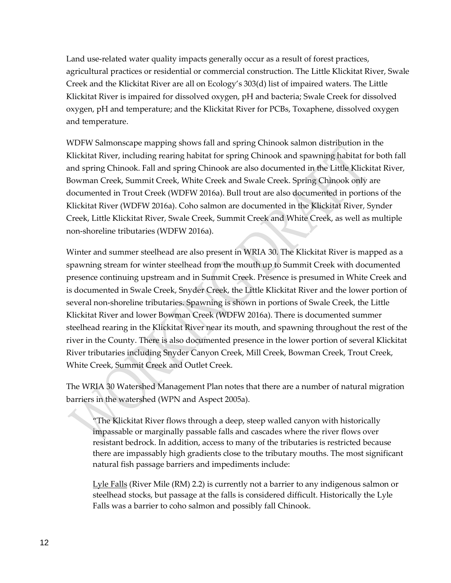Land use-related water quality impacts generally occur as a result of forest practices, agricultural practices or residential or commercial construction. The Little Klickitat River, Swale Creek and the Klickitat River are all on Ecology's 303(d) list of impaired waters. The Little Klickitat River is impaired for dissolved oxygen, pH and bacteria; Swale Creek for dissolved oxygen, pH and temperature; and the Klickitat River for PCBs, Toxaphene, dissolved oxygen and temperature.

WDFW Salmonscape mapping shows fall and spring Chinook salmon distribution in the Klickitat River, including rearing habitat for spring Chinook and spawning habitat for both fall and spring Chinook. Fall and spring Chinook are also documented in the Little Klickitat River, Bowman Creek, Summit Creek, White Creek and Swale Creek. Spring Chinook only are documented in Trout Creek (WDFW 2016a). Bull trout are also documented in portions of the Klickitat River (WDFW 2016a). Coho salmon are documented in the Klickitat River, Synder Creek, Little Klickitat River, Swale Creek, Summit Creek and White Creek, as well as multiple non-shoreline tributaries (WDFW 2016a).

Winter and summer steelhead are also present in WRIA 30. The Klickitat River is mapped as a spawning stream for winter steelhead from the mouth up to Summit Creek with documented presence continuing upstream and in Summit Creek. Presence is presumed in White Creek and is documented in Swale Creek, Snyder Creek, the Little Klickitat River and the lower portion of several non-shoreline tributaries. Spawning is shown in portions of Swale Creek, the Little Klickitat River and lower Bowman Creek (WDFW 2016a). There is documented summer steelhead rearing in the Klickitat River near its mouth, and spawning throughout the rest of the river in the County. There is also documented presence in the lower portion of several Klickitat River tributaries including Snyder Canyon Creek, Mill Creek, Bowman Creek, Trout Creek, White Creek, Summit Creek and Outlet Creek.

The WRIA 30 Watershed Management Plan notes that there are a number of natural migration barriers in the watershed (WPN and Aspect 2005a).

"The Klickitat River flows through a deep, steep walled canyon with historically impassable or marginally passable falls and cascades where the river flows over resistant bedrock. In addition, access to many of the tributaries is restricted because there are impassably high gradients close to the tributary mouths. The most significant natural fish passage barriers and impediments include:

Lyle Falls (River Mile (RM) 2.2) is currently not a barrier to any indigenous salmon or steelhead stocks, but passage at the falls is considered difficult. Historically the Lyle Falls was a barrier to coho salmon and possibly fall Chinook.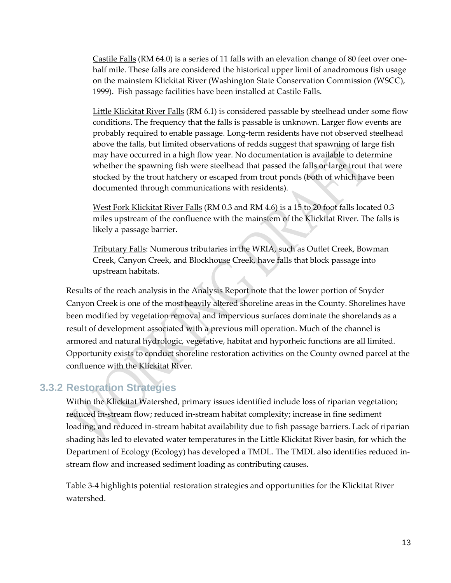Castile Falls (RM 64.0) is a series of 11 falls with an elevation change of 80 feet over onehalf mile. These falls are considered the historical upper limit of anadromous fish usage on the mainstem Klickitat River (Washington State Conservation Commission (WSCC), 1999). Fish passage facilities have been installed at Castile Falls.

Little Klickitat River Falls (RM 6.1) is considered passable by steelhead under some flow conditions. The frequency that the falls is passable is unknown. Larger flow events are probably required to enable passage. Long-term residents have not observed steelhead above the falls, but limited observations of redds suggest that spawning of large fish may have occurred in a high flow year. No documentation is available to determine whether the spawning fish were steelhead that passed the falls or large trout that were stocked by the trout hatchery or escaped from trout ponds (both of which have been documented through communications with residents).

West Fork Klickitat River Falls (RM 0.3 and RM 4.6) is a 15 to 20 foot falls located 0.3 miles upstream of the confluence with the mainstem of the Klickitat River. The falls is likely a passage barrier.

Tributary Falls: Numerous tributaries in the WRIA, such as Outlet Creek, Bowman Creek, Canyon Creek, and Blockhouse Creek, have falls that block passage into upstream habitats.

Results of the reach analysis in the Analysis Report note that the lower portion of Snyder Canyon Creek is one of the most heavily altered shoreline areas in the County. Shorelines have been modified by vegetation removal and impervious surfaces dominate the shorelands as a result of development associated with a previous mill operation. Much of the channel is armored and natural hydrologic, vegetative, habitat and hyporheic functions are all limited. Opportunity exists to conduct shoreline restoration activities on the County owned parcel at the confluence with the Klickitat River.

#### <span id="page-18-0"></span>**3.3.2 Restoration Strategies**

Within the Klickitat Watershed, primary issues identified include loss of riparian vegetation; reduced in-stream flow; reduced in-stream habitat complexity; increase in fine sediment loading; and reduced in-stream habitat availability due to fish passage barriers. Lack of riparian shading has led to elevated water temperatures in the Little Klickitat River basin, for which the Department of Ecology (Ecology) has developed a TMDL. The TMDL also identifies reduced instream flow and increased sediment loading as contributing causes.

Table 3-4 highlights potential restoration strategies and opportunities for the Klickitat River watershed.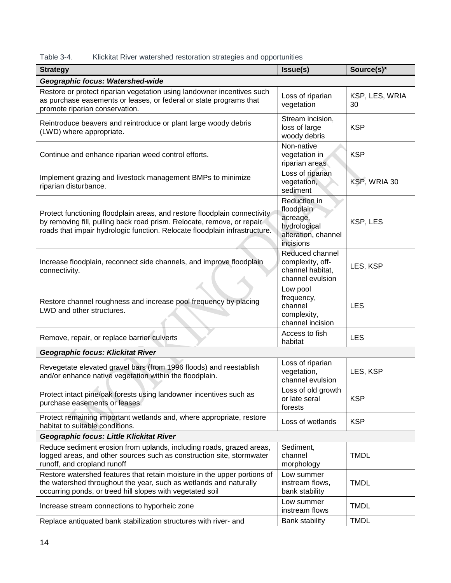<span id="page-19-0"></span>

| Table 3-4. | Klickitat River watershed restoration strategies and opportunities |  |  |  |
|------------|--------------------------------------------------------------------|--|--|--|
|            |                                                                    |  |  |  |

| <b>Strategy</b>                                                                                                                                                                                                                   | Issue(s)                                                                                   | Source(s)*           |
|-----------------------------------------------------------------------------------------------------------------------------------------------------------------------------------------------------------------------------------|--------------------------------------------------------------------------------------------|----------------------|
| Geographic focus: Watershed-wide                                                                                                                                                                                                  |                                                                                            |                      |
| Restore or protect riparian vegetation using landowner incentives such<br>as purchase easements or leases, or federal or state programs that<br>promote riparian conservation.                                                    | Loss of riparian<br>vegetation                                                             | KSP, LES, WRIA<br>30 |
| Reintroduce beavers and reintroduce or plant large woody debris<br>(LWD) where appropriate.                                                                                                                                       | Stream incision,<br>loss of large<br>woody debris                                          | <b>KSP</b>           |
| Continue and enhance riparian weed control efforts.                                                                                                                                                                               | Non-native<br>vegetation in<br>riparian areas                                              | <b>KSP</b>           |
| Implement grazing and livestock management BMPs to minimize<br>riparian disturbance.                                                                                                                                              | Loss of riparian<br>vegetation,<br>sediment                                                | KSP, WRIA 30         |
| Protect functioning floodplain areas, and restore floodplain connectivity<br>by removing fill, pulling back road prism. Relocate, remove, or repair<br>roads that impair hydrologic function. Relocate floodplain infrastructure. | Reduction in<br>floodplain<br>acreage,<br>hydrological<br>alteration, channel<br>incisions | KSP, LES             |
| Increase floodplain, reconnect side channels, and improve floodplain<br>connectivity.                                                                                                                                             | Reduced channel<br>complexity, off-<br>channel habitat,<br>channel evulsion                | LES, KSP             |
| Restore channel roughness and increase pool frequency by placing<br>LWD and other structures.                                                                                                                                     | Low pool<br>frequency,<br>channel<br>complexity,<br>channel incision                       | <b>LES</b>           |
| Remove, repair, or replace barrier culverts                                                                                                                                                                                       | Access to fish<br>habitat                                                                  | <b>LES</b>           |
| <b>Geographic focus: Klickitat River</b>                                                                                                                                                                                          |                                                                                            |                      |
| Revegetate elevated gravel bars (from 1996 floods) and reestablish<br>and/or enhance native vegetation within the floodplain.                                                                                                     | Loss of riparian<br>vegetation,<br>channel evulsion                                        | LES, KSP             |
| Protect intact pine/oak forests using landowner incentives such as<br>purchase easements or leases.                                                                                                                               | Loss of old growth<br>or late seral<br>forests                                             | <b>KSP</b>           |
| Protect remaining important wetlands and, where appropriate, restore<br>habitat to suitable conditions.                                                                                                                           | Loss of wetlands                                                                           | <b>KSP</b>           |
| <b>Geographic focus: Little Klickitat River</b>                                                                                                                                                                                   |                                                                                            |                      |
| Reduce sediment erosion from uplands, including roads, grazed areas,<br>logged areas, and other sources such as construction site, stormwater<br>runoff, and cropland runoff                                                      | Sediment,<br>channel<br>morphology                                                         | <b>TMDL</b>          |
| Restore watershed features that retain moisture in the upper portions of<br>the watershed throughout the year, such as wetlands and naturally<br>occurring ponds, or treed hill slopes with vegetated soil                        | Low summer<br>instream flows,<br>bank stability                                            | <b>TMDL</b>          |
| Increase stream connections to hyporheic zone                                                                                                                                                                                     | Low summer<br>instream flows                                                               | <b>TMDL</b>          |
| Replace antiquated bank stabilization structures with river- and                                                                                                                                                                  | <b>Bank stability</b>                                                                      | <b>TMDL</b>          |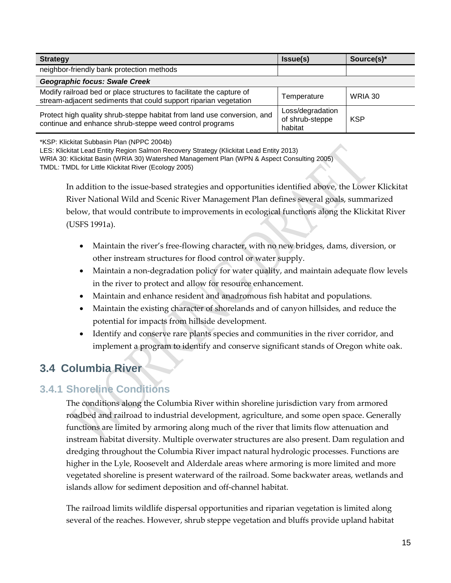| <b>Strategy</b>                                                                                                                          | <b>Issue(s)</b>                                | Source(s)* |
|------------------------------------------------------------------------------------------------------------------------------------------|------------------------------------------------|------------|
| neighbor-friendly bank protection methods                                                                                                |                                                |            |
| Geographic focus: Swale Creek                                                                                                            |                                                |            |
| Modify railroad bed or place structures to facilitate the capture of<br>stream-adjacent sediments that could support riparian vegetation | Temperature                                    | WRIA 30    |
| Protect high quality shrub-steppe habitat from land use conversion, and<br>continue and enhance shrub-steppe weed control programs       | Loss/degradation<br>of shrub-steppe<br>habitat | <b>KSP</b> |

\*KSP: Klickitat Subbasin Plan (NPPC 2004b)

LES: Klickitat Lead Entity Region Salmon Recovery Strategy (Klickitat Lead Entity 2013)

WRIA 30: Klickitat Basin (WRIA 30) Watershed Management Plan (WPN & Aspect Consulting 2005) TMDL: TMDL for Little Klickitat River (Ecology 2005)

In addition to the issue-based strategies and opportunities identified above, the Lower Klickitat River National Wild and Scenic River Management Plan defines several goals, summarized below, that would contribute to improvements in ecological functions along the Klickitat River (USFS 1991a).

- Maintain the river's free-flowing character, with no new bridges, dams, diversion, or other instream structures for flood control or water supply.
- Maintain a non-degradation policy for water quality, and maintain adequate flow levels in the river to protect and allow for resource enhancement.
- Maintain and enhance resident and anadromous fish habitat and populations.
- Maintain the existing character of shorelands and of canyon hillsides, and reduce the potential for impacts from hillside development.
- Identify and conserve rare plants species and communities in the river corridor, and implement a program to identify and conserve significant stands of Oregon white oak.

## <span id="page-20-0"></span>**3.4 Columbia River**

### <span id="page-20-1"></span>**3.4.1 Shoreline Conditions**

The conditions along the Columbia River within shoreline jurisdiction vary from armored roadbed and railroad to industrial development, agriculture, and some open space. Generally functions are limited by armoring along much of the river that limits flow attenuation and instream habitat diversity. Multiple overwater structures are also present. Dam regulation and dredging throughout the Columbia River impact natural hydrologic processes. Functions are higher in the Lyle, Roosevelt and Alderdale areas where armoring is more limited and more vegetated shoreline is present waterward of the railroad. Some backwater areas, wetlands and islands allow for sediment deposition and off-channel habitat.

The railroad limits wildlife dispersal opportunities and riparian vegetation is limited along several of the reaches. However, shrub steppe vegetation and bluffs provide upland habitat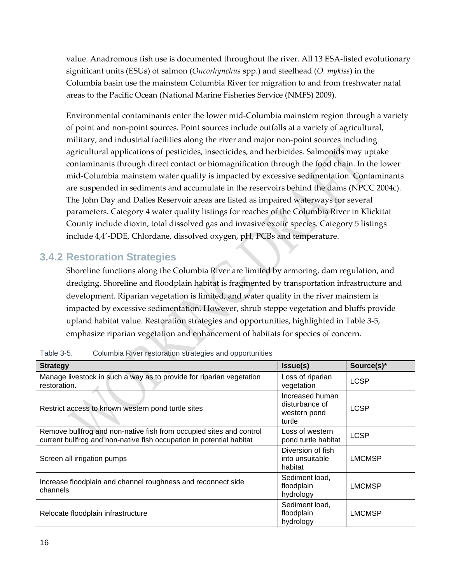value. Anadromous fish use is documented throughout the river. All 13 ESA-listed evolutionary significant units (ESUs) of salmon (*Oncorhynchus* spp.) and steelhead (*O. mykiss*) in the Columbia basin use the mainstem Columbia River for migration to and from freshwater natal areas to the Pacific Ocean (National Marine Fisheries Service (NMFS) 2009).

Environmental contaminants enter the lower mid-Columbia mainstem region through a variety of point and non-point sources. Point sources include outfalls at a variety of agricultural, military, and industrial facilities along the river and major non-point sources including agricultural applications of pesticides, insecticides, and herbicides. Salmonids may uptake contaminants through direct contact or biomagnification through the food chain. In the lower mid-Columbia mainstem water quality is impacted by excessive sedimentation. Contaminants are suspended in sediments and accumulate in the reservoirs behind the dams (NPCC 2004c). The John Day and Dalles Reservoir areas are listed as impaired waterways for several parameters. Category 4 water quality listings for reaches of the Columbia River in Klickitat County include dioxin, total dissolved gas and invasive exotic species. Category 5 listings include 4,4'-DDE, Chlordane, dissolved oxygen, pH, PCBs and temperature.

#### <span id="page-21-0"></span>**3.4.2 Restoration Strategies**

Shoreline functions along the Columbia River are limited by armoring, dam regulation, and dredging. Shoreline and floodplain habitat is fragmented by transportation infrastructure and development. Riparian vegetation is limited, and water quality in the river mainstem is impacted by excessive sedimentation. However, shrub steppe vegetation and bluffs provide upland habitat value. Restoration strategies and opportunities, highlighted in Table 3-5, emphasize riparian vegetation and enhancement of habitats for species of concern.

| <b>Strategy</b>                                                                                                                             | Issue(s)                                                    | Source(s)*    |
|---------------------------------------------------------------------------------------------------------------------------------------------|-------------------------------------------------------------|---------------|
| Manage livestock in such a way as to provide for riparian vegetation<br>restoration.                                                        | Loss of riparian<br>vegetation                              | <b>LCSP</b>   |
| Restrict access to known western pond turtle sites                                                                                          | Increased human<br>disturbance of<br>western pond<br>turtle | <b>LCSP</b>   |
| Remove bullfrog and non-native fish from occupied sites and control<br>current bullfrog and non-native fish occupation in potential habitat | Loss of western<br>pond turtle habitat                      | <b>LCSP</b>   |
| Screen all irrigation pumps                                                                                                                 | Diversion of fish<br>into unsuitable<br>habitat             | <b>LMCMSP</b> |
| Increase floodplain and channel roughness and reconnect side<br>channels                                                                    | Sediment load,<br>floodplain<br>hydrology                   | <b>LMCMSP</b> |
| Relocate floodplain infrastructure                                                                                                          | Sediment load,<br>floodplain<br>hydrology                   | <b>LMCMSP</b> |

<span id="page-21-1"></span>Table 3-5. Columbia River restoration strategies and opportunities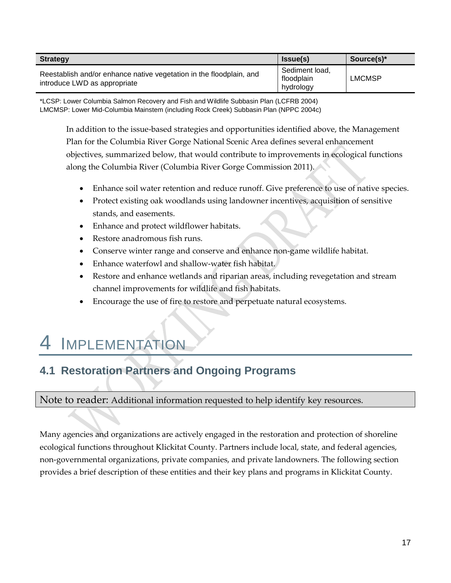| <b>Strategy</b>                                                                                     | lssue(s)                                  | Source(s)* |
|-----------------------------------------------------------------------------------------------------|-------------------------------------------|------------|
| Reestablish and/or enhance native vegetation in the floodplain, and<br>introduce LWD as appropriate | Sediment load,<br>floodplain<br>hydrology | LMCMSP     |

\*LCSP: Lower Columbia Salmon Recovery and Fish and Wildlife Subbasin Plan (LCFRB 2004) LMCMSP: Lower Mid-Columbia Mainstem (including Rock Creek) Subbasin Plan (NPPC 2004c)

In addition to the issue-based strategies and opportunities identified above, the Management Plan for the Columbia River Gorge National Scenic Area defines several enhancement objectives, summarized below, that would contribute to improvements in ecological functions along the Columbia River (Columbia River Gorge Commission 2011).

- Enhance soil water retention and reduce runoff. Give preference to use of native species.
- Protect existing oak woodlands using landowner incentives, acquisition of sensitive stands, and easements.
- Enhance and protect wildflower habitats.
- Restore anadromous fish runs.
- Conserve winter range and conserve and enhance non-game wildlife habitat.
- Enhance waterfowl and shallow-water fish habitat.
- Restore and enhance wetlands and riparian areas, including revegetation and stream channel improvements for wildlife and fish habitats.
- Encourage the use of fire to restore and perpetuate natural ecosystems.

## <span id="page-22-0"></span>**IMPLEMENTATION**

## <span id="page-22-1"></span>**4.1 Restoration Partners and Ongoing Programs**

#### Note to reader: Additional information requested to help identify key resources.

Many agencies and organizations are actively engaged in the restoration and protection of shoreline ecological functions throughout Klickitat County. Partners include local, state, and federal agencies, non-governmental organizations, private companies, and private landowners. The following section provides a brief description of these entities and their key plans and programs in Klickitat County.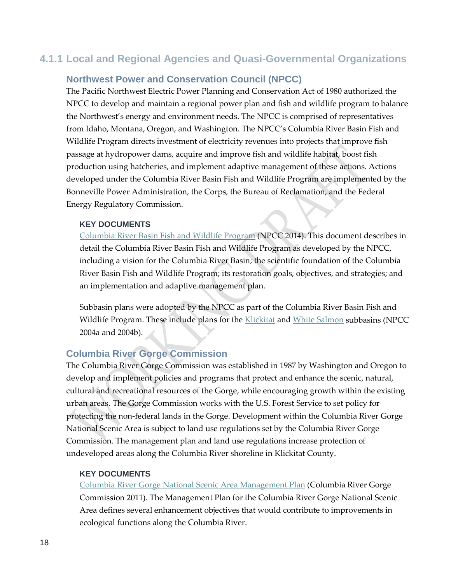### <span id="page-23-0"></span>**4.1.1 Local and Regional Agencies and Quasi-Governmental Organizations**

#### **Northwest Power and Conservation Council (NPCC)**

The Pacific Northwest Electric Power Planning and Conservation Act of 1980 authorized the NPCC to develop and maintain a regional power plan and fish and wildlife program to balance the Northwest's energy and environment needs. The NPCC is comprised of representatives from Idaho, Montana, Oregon, and Washington. The NPCC's Columbia River Basin Fish and Wildlife Program directs investment of electricity revenues into projects that improve fish passage at hydropower dams, acquire and improve fish and wildlife habitat, boost fish production using hatcheries, and implement adaptive management of these actions. Actions developed under the Columbia River Basin Fish and Wildlife Program are implemented by the Bonneville Power Administration, the Corps, the Bureau of Reclamation, and the Federal Energy Regulatory Commission.

#### **KEY DOCUMENTS**

[Columbia River Basin Fish and Wildlife Program](https://www.nwcouncil.org/media/7148624/2014-12.pdf) (NPCC 2014). This document describes in detail the Columbia River Basin Fish and Wildlife Program as developed by the NPCC, including a vision for the Columbia River Basin; the scientific foundation of the Columbia River Basin Fish and Wildlife Program; its restoration goals, objectives, and strategies; and an implementation and adaptive management plan.

Subbasin plans were adopted by the NPCC as part of the Columbia River Basin Fish and Wildlife Program. These include plans for the [Klickitat](https://www.nwcouncil.org/fw/subbasinplanning/klickitat/plan) and [White Salmon](https://www.nwcouncil.org/fw/subbasinplanning/bigwhitesalmon/plan) subbasins (NPCC 2004a and 2004b).

#### **Columbia River Gorge Commission**

The Columbia River Gorge Commission was established in 1987 by Washington and Oregon to develop and implement policies and programs that protect and enhance the scenic, natural, cultural and recreational resources of the Gorge, while encouraging growth within the existing urban areas. The Gorge Commission works with the U.S. Forest Service to set policy for protecting the non-federal lands in the Gorge. Development within the Columbia River Gorge National Scenic Area is subject to land use regulations set by the Columbia River Gorge Commission. The management plan and land use regulations increase protection of undeveloped areas along the Columbia River shoreline in Klickitat County.

#### **KEY DOCUMENTS**

[Columbia River Gorge National Scenic Area Management Plan](http://www.gorgecommission.org/management-plan/plan/) (Columbia River Gorge Commission 2011). The Management Plan for the Columbia River Gorge National Scenic Area defines several enhancement objectives that would contribute to improvements in ecological functions along the Columbia River.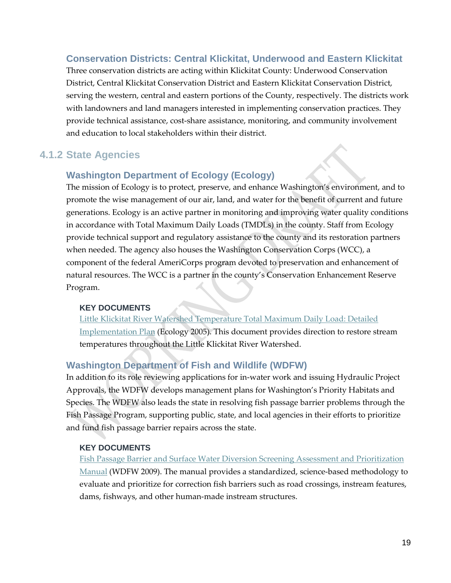#### **Conservation Districts: Central Klickitat, Underwood and Eastern Klickitat**

Three conservation districts are acting within Klickitat County: Underwood Conservation District, Central Klickitat Conservation District and Eastern Klickitat Conservation District, serving the western, central and eastern portions of the County, respectively. The districts work with landowners and land managers interested in implementing conservation practices. They provide technical assistance, cost-share assistance, monitoring, and community involvement and education to local stakeholders within their district.

### <span id="page-24-0"></span>**4.1.2 State Agencies**

#### **Washington Department of Ecology (Ecology)**

The mission of Ecology is to protect, preserve, and enhance Washington's environment, and to promote the wise management of our air, land, and water for the benefit of current and future generations. Ecology is an active partner in monitoring and improving water quality conditions in accordance with Total Maximum Daily Loads (TMDLs) in the county. Staff from Ecology provide technical support and regulatory assistance to the county and its restoration partners when needed. The agency also houses the Washington Conservation Corps (WCC), a component of the federal AmeriCorps program devoted to preservation and enhancement of natural resources. The WCC is a partner in the county's Conservation Enhancement Reserve Program.

#### **KEY DOCUMENTS**

[Little Klickitat River Watershed Temperature Total Maximum Daily Load: Detailed](https://fortress.wa.gov/ecy/publications/SummaryPages/0410075.html)  [Implementation Plan](https://fortress.wa.gov/ecy/publications/SummaryPages/0410075.html) (Ecology 2005). This document provides direction to restore stream temperatures throughout the Little Klickitat River Watershed.

#### **Washington Department of Fish and Wildlife (WDFW)**

In addition to its role reviewing applications for in-water work and issuing Hydraulic Project Approvals, the WDFW develops management plans for Washington's Priority Habitats and Species. The WDFW also leads the state in resolving fish passage barrier problems through the Fish Passage Program, supporting public, state, and local agencies in their efforts to prioritize and fund fish passage barrier repairs across the state.

#### **KEY DOCUMENTS**

[Fish Passage Barrier and Surface Water Diversion Screening Assessment and Prioritization](http://wdfw.wa.gov/publications/00061/)  [Manual](http://wdfw.wa.gov/publications/00061/) (WDFW 2009). The manual provides a standardized, science-based methodology to evaluate and prioritize for correction fish barriers such as road crossings, instream features, dams, fishways, and other human-made instream structures.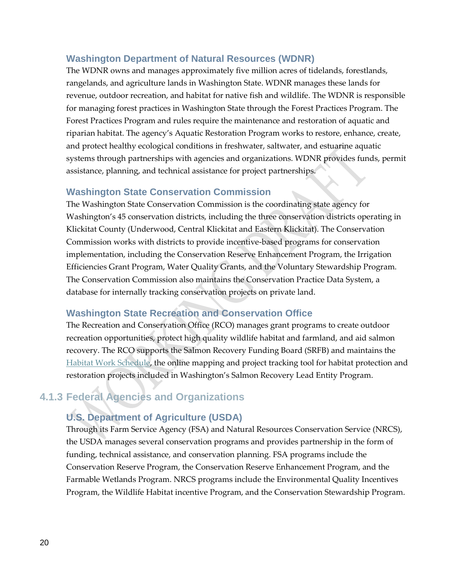#### **Washington Department of Natural Resources (WDNR)**

The WDNR owns and manages approximately five million acres of tidelands, forestlands, rangelands, and agriculture lands in Washington State. WDNR manages these lands for revenue, outdoor recreation, and habitat for native fish and wildlife. The WDNR is responsible for managing forest practices in Washington State through the Forest Practices Program. The Forest Practices Program and rules require the maintenance and restoration of aquatic and riparian habitat. The agency's Aquatic Restoration Program works to restore, enhance, create, and protect healthy ecological conditions in freshwater, saltwater, and estuarine aquatic systems through partnerships with agencies and organizations. WDNR provides funds, permit assistance, planning, and technical assistance for project partnerships.

#### **Washington State Conservation Commission**

The Washington State Conservation Commission is the coordinating state agency for Washington's 45 conservation districts, including the three conservation districts operating in Klickitat County (Underwood, Central Klickitat and Eastern Klickitat). The Conservation Commission works with districts to provide incentive-based programs for conservation implementation, including the Conservation Reserve Enhancement Program, the Irrigation Efficiencies Grant Program, Water Quality Grants, and the Voluntary Stewardship Program. The Conservation Commission also maintains the Conservation Practice Data System, a database for internally tracking conservation projects on private land.

#### **Washington State Recreation and Conservation Office**

The Recreation and Conservation Office (RCO) manages grant programs to create outdoor recreation opportunities, protect high quality wildlife habitat and farmland, and aid salmon recovery. The RCO supports the Salmon Recovery Funding Board (SRFB) and maintains the [Habitat Work Schedule,](http://hws.ekosystem.us/) the online mapping and project tracking tool for habitat protection and restoration projects included in Washington's Salmon Recovery Lead Entity Program.

## <span id="page-25-0"></span>**4.1.3 Federal Agencies and Organizations**

### **U.S. Department of Agriculture (USDA)**

Through its Farm Service Agency (FSA) and Natural Resources Conservation Service (NRCS), the USDA manages several conservation programs and provides partnership in the form of funding, technical assistance, and conservation planning. FSA programs include the Conservation Reserve Program, the Conservation Reserve Enhancement Program, and the Farmable Wetlands Program. NRCS programs include the Environmental Quality Incentives Program, the Wildlife Habitat incentive Program, and the Conservation Stewardship Program.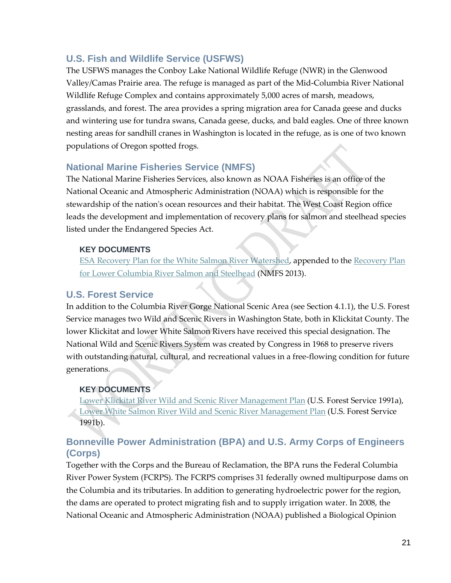#### **U.S. Fish and Wildlife Service (USFWS)**

The USFWS manages the Conboy Lake National Wildlife Refuge (NWR) in the Glenwood Valley/Camas Prairie area. The refuge is managed as part of the Mid-Columbia River National Wildlife Refuge Complex and contains approximately 5,000 acres of marsh, meadows, grasslands, and forest. The area provides a spring migration area for Canada geese and ducks and wintering use for tundra swans, Canada geese, ducks, and bald eagles. One of three known nesting areas for sandhill cranes in Washington is located in the refuge, as is one of two known populations of Oregon spotted frogs.

#### **National Marine Fisheries Service (NMFS)**

The National Marine Fisheries Services, also known as NOAA Fisheries is an office of the National Oceanic and Atmospheric Administration (NOAA) which is responsible for the stewardship of the nation's ocean resources and their habitat. The West Coast Region office leads the development and implementation of recovery plans for salmon and steelhead species listed under the Endangered Species Act.

#### **KEY DOCUMENTS**

[ESA Recovery Plan for the White Salmon River Watershed,](http://www.westcoast.fisheries.noaa.gov/publications/recovery_planning/salmon_steelhead/domains/willamette_lowercol/lower_columbia/final_plan_documents/white_salmon_recovery_plan__june_2013.pdf) appended to the [Recovery Plan](http://www.westcoast.fisheries.noaa.gov/publications/recovery_planning/salmon_steelhead/domains/willamette_lowercol/lower_columbia/final_plan_documents/final_lcr_plan_june_2013_-corrected.pdf)  [for Lower Columbia River Salmon and Steelhead](http://www.westcoast.fisheries.noaa.gov/publications/recovery_planning/salmon_steelhead/domains/willamette_lowercol/lower_columbia/final_plan_documents/final_lcr_plan_june_2013_-corrected.pdf) (NMFS 2013).

#### **U.S. Forest Service**

In addition to the Columbia River Gorge National Scenic Area (see Section 4.1.1), the U.S. Forest Service manages two Wild and Scenic Rivers in Washington State, both in Klickitat County. The lower Klickitat and lower White Salmon Rivers have received this special designation. The National Wild and Scenic Rivers System was created by Congress in 1968 to preserve rivers with outstanding natural, cultural, and recreational values in a free-flowing condition for future generations.

#### **KEY DOCUMENTS**

[Lower Klickitat River Wild and Scenic River Management Plan](http://www.fs.usda.gov/Internet/FSE_DOCUMENTS/stelprd3844636.pdf) (U.S. Forest Service 1991a), [Lower White Salmon River Wild and Scenic River Management Plan](http://www.fs.usda.gov/Internet/FSE_DOCUMENTS/stelprd3844635.pdf) (U.S. Forest Service 1991b).

#### **Bonneville Power Administration (BPA) and U.S. Army Corps of Engineers (Corps)**

Together with the Corps and the Bureau of Reclamation, the BPA runs the Federal Columbia River Power System (FCRPS). The FCRPS comprises 31 federally owned multipurpose dams on the Columbia and its tributaries. In addition to generating hydroelectric power for the region, the dams are operated to protect migrating fish and to supply irrigation water. In 2008, the National Oceanic and Atmospheric Administration (NOAA) published a Biological Opinion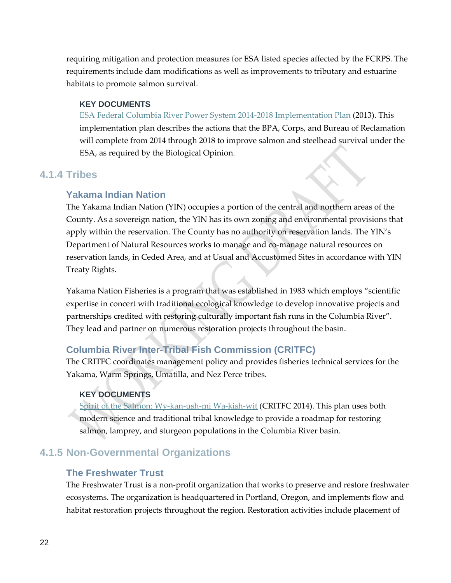requiring mitigation and protection measures for ESA listed species affected by the FCRPS. The requirements include dam modifications as well as improvements to tributary and estuarine habitats to promote salmon survival.

#### **KEY DOCUMENTS**

[ESA Federal Columbia River Power System 2014-2018 Implementation Plan](http://www.salmonrecovery.gov/docs/FCRPS_IP_2014-1-10.pdf) (2013). This implementation plan describes the actions that the BPA, Corps, and Bureau of Reclamation will complete from 2014 through 2018 to improve salmon and steelhead survival under the ESA, as required by the Biological Opinion.

#### <span id="page-27-0"></span>**4.1.4 Tribes**

#### **Yakama Indian Nation**

The Yakama Indian Nation (YIN) occupies a portion of the central and northern areas of the County. As a sovereign nation, the YIN has its own zoning and environmental provisions that apply within the reservation. The County has no authority on reservation lands. The YIN's Department of Natural Resources works to manage and co-manage natural resources on reservation lands, in Ceded Area, and at Usual and Accustomed Sites in accordance with YIN Treaty Rights.

Yakama Nation Fisheries is a program that was established in 1983 which employs "scientific expertise in concert with traditional ecological knowledge to develop innovative projects and partnerships credited with restoring culturally important fish runs in the Columbia River". They lead and partner on numerous restoration projects throughout the basin.

#### **Columbia River Inter-Tribal Fish Commission (CRITFC)**

The CRITFC coordinates management policy and provides fisheries technical services for the Yakama, Warm Springs, Umatilla, and Nez Perce tribes.

#### **KEY DOCUMENTS**

[Spirit of the Salmon: Wy-kan-ush-mi Wa-kish-wit](http://plan.critfc.org/2013/spirit-of-the-salmon-plan/about-spirit-of-the-salmon/) (CRITFC 2014). This plan uses both modern science and traditional tribal knowledge to provide a roadmap for restoring salmon, lamprey, and sturgeon populations in the Columbia River basin.

### <span id="page-27-1"></span>**4.1.5 Non-Governmental Organizations**

#### **The Freshwater Trust**

The Freshwater Trust is a non-profit organization that works to preserve and restore freshwater ecosystems. The organization is headquartered in Portland, Oregon, and implements flow and habitat restoration projects throughout the region. Restoration activities include placement of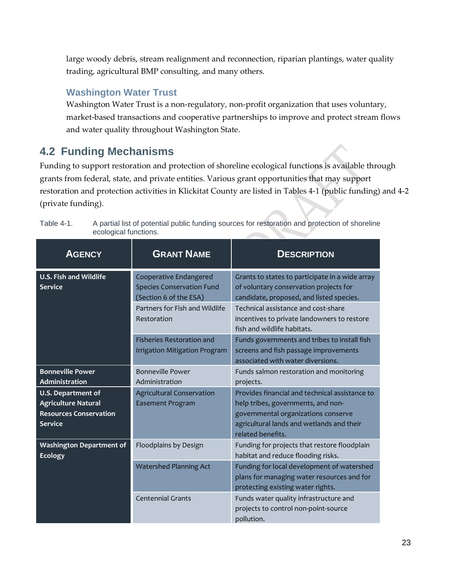large woody debris, stream realignment and reconnection, riparian plantings, water quality trading, agricultural BMP consulting, and many others.

### **Washington Water Trust**

Washington Water Trust is a non-regulatory, non-profit organization that uses voluntary, market-based transactions and cooperative partnerships to improve and protect stream flows and water quality throughout Washington State.

## <span id="page-28-0"></span>**4.2 Funding Mechanisms**

Funding to support restoration and protection of shoreline ecological functions is available through grants from federal, state, and private entities. Various grant opportunities that may support restoration and protection activities in Klickitat County are listed in Tables 4-1 (public funding) and 4-2 (private funding).

| <b>AGENCY</b>                                                                                              | <b>GRANT NAME</b>                                                                    | <b>DESCRIPTION</b>                                                                                                                                                                            |
|------------------------------------------------------------------------------------------------------------|--------------------------------------------------------------------------------------|-----------------------------------------------------------------------------------------------------------------------------------------------------------------------------------------------|
| <b>U.S. Fish and Wildlife</b><br><b>Service</b>                                                            | Cooperative Endangered<br><b>Species Conservation Fund</b><br>(Section 6 of the ESA) | Grants to states to participate in a wide array<br>of voluntary conservation projects for<br>candidate, proposed, and listed species.                                                         |
|                                                                                                            | Partners for Fish and Wildlife<br>Restoration                                        | Technical assistance and cost-share<br>incentives to private landowners to restore<br>fish and wildlife habitats.                                                                             |
|                                                                                                            | <b>Fisheries Restoration and</b><br><b>Irrigation Mitigation Program</b>             | Funds governments and tribes to install fish<br>screens and fish passage improvements<br>associated with water diversions.                                                                    |
| <b>Bonneville Power</b><br>Administration                                                                  | <b>Bonneville Power</b><br>Administration                                            | Funds salmon restoration and monitoring<br>projects.                                                                                                                                          |
| <b>U.S. Department of</b><br><b>Agriculture Natural</b><br><b>Resources Conservation</b><br><b>Service</b> | <b>Agricultural Conservation</b><br><b>Easement Program</b>                          | Provides financial and technical assistance to<br>help tribes, governments, and non-<br>governmental organizations conserve<br>agricultural lands and wetlands and their<br>related benefits. |
| <b>Washington Department of</b><br><b>Ecology</b>                                                          | Floodplains by Design                                                                | Funding for projects that restore floodplain<br>habitat and reduce flooding risks.                                                                                                            |
|                                                                                                            | <b>Watershed Planning Act</b>                                                        | Funding for local development of watershed<br>plans for managing water resources and for<br>protecting existing water rights.                                                                 |
|                                                                                                            | <b>Centennial Grants</b>                                                             | Funds water quality infrastructure and<br>projects to control non-point-source<br>pollution.                                                                                                  |

<span id="page-28-1"></span>Table 4-1. A partial list of potential public funding sources for restoration and protection of shoreline ecological functions.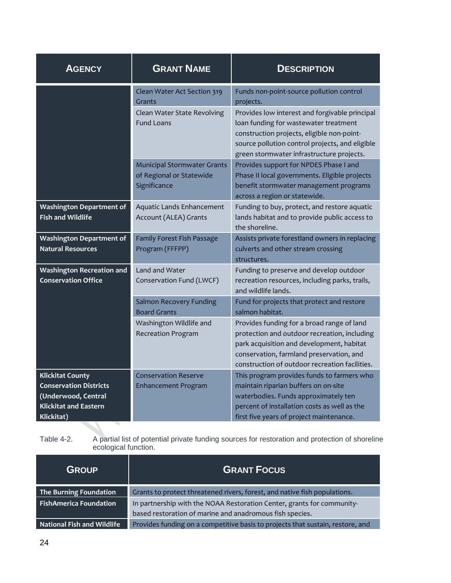| <b>AGENCY</b>                                                                                                                 | <b>GRANT NAME</b>                                                                         | <b>DESCRIPTION</b>                                                                                                                                                                                                                                |
|-------------------------------------------------------------------------------------------------------------------------------|-------------------------------------------------------------------------------------------|---------------------------------------------------------------------------------------------------------------------------------------------------------------------------------------------------------------------------------------------------|
|                                                                                                                               | Clean Water Act Section 319<br>Grants<br>Clean Water State Revolving<br><b>Fund Loans</b> | Funds non-point-source pollution control<br>projects.<br>Provides low interest and forgivable principal<br>loan funding for wastewater treatment<br>construction projects, eligible non-point-<br>source pollution control projects, and eligible |
|                                                                                                                               | <b>Municipal Stormwater Grants</b><br>of Regional or Statewide<br>Significance            | green stormwater infrastructure projects.<br>Provides support for NPDES Phase I and<br>Phase II local governments. Eligible projects<br>benefit stormwater management programs<br>across a region or statewide.                                   |
| <b>Washington Department of</b><br><b>Fish and Wildlife</b>                                                                   | Aquatic Lands Enhancement<br>Account (ALEA) Grants                                        | Funding to buy, protect, and restore aquatic<br>lands habitat and to provide public access to<br>the shoreline.                                                                                                                                   |
| <b>Washington Department of</b><br><b>Natural Resources</b>                                                                   | Family Forest Fish Passage<br>Program (FFFPP)                                             | Assists private forestland owners in replacing<br>culverts and other stream crossing<br>structures.                                                                                                                                               |
| <b>Washington Recreation and</b><br><b>Conservation Office</b>                                                                | Land and Water<br>Conservation Fund (LWCF)                                                | Funding to preserve and develop outdoor<br>recreation resources, including parks, trails,<br>and wildlife lands.                                                                                                                                  |
|                                                                                                                               | <b>Salmon Recovery Funding</b><br><b>Board Grants</b>                                     | Fund for projects that protect and restore<br>salmon habitat.                                                                                                                                                                                     |
|                                                                                                                               | Washington Wildlife and<br><b>Recreation Program</b>                                      | Provides funding for a broad range of land<br>protection and outdoor recreation, including<br>park acquisition and development, habitat<br>conservation, farmland preservation, and<br>construction of outdoor recreation facilities.             |
| <b>Klickitat County</b><br><b>Conservation Districts</b><br>(Underwood, Central<br><b>Klickitat and Eastern</b><br>Klickitat) | <b>Conservation Reserve</b><br><b>Enhancement Program</b>                                 | This program provides funds to farmers who<br>maintain riparian buffers on on-site<br>waterbodies. Funds approximately ten<br>percent of installation costs as well as the<br>first five years of project maintenance.                            |
|                                                                                                                               |                                                                                           |                                                                                                                                                                                                                                                   |

<span id="page-29-0"></span>Table 4-2. A partial list of potential private funding sources for restoration and protection of shoreline ecological function.

| <b>GROUP</b>                      | <b>GRANT FOCUS</b>                                                             |
|-----------------------------------|--------------------------------------------------------------------------------|
| The Burning Foundation            | Grants to protect threatened rivers, forest, and native fish populations.      |
| <b>FishAmerica Foundation</b>     | In partnership with the NOAA Restoration Center, grants for community-         |
|                                   | based restoration of marine and anadromous fish species.                       |
| <b>National Fish and Wildlife</b> | Provides funding on a competitive basis to projects that sustain, restore, and |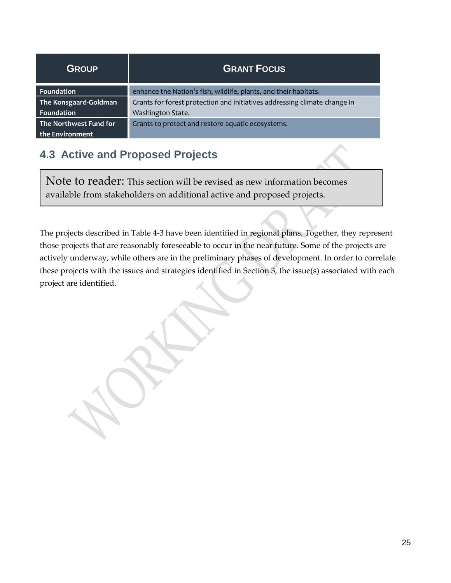| <b>GROUP</b>           | <b>GRANT FOCUS</b>                                                        |
|------------------------|---------------------------------------------------------------------------|
| Foundation             | enhance the Nation's fish, wildlife, plants, and their habitats.          |
| The Konsgaard-Goldman  | Grants for forest protection and initiatives addressing climate change in |
| Foundation             | Washington State.                                                         |
| The Northwest Fund for | Grants to protect and restore aquatic ecosystems.                         |
| the Environment        |                                                                           |

## <span id="page-30-0"></span>**4.3 Active and Proposed Projects**

Note to reader: This section will be revised as new information becomes available from stakeholders on additional active and proposed projects.

<span id="page-30-1"></span>The projects described in Table 4-3 have been identified in regional plans. Together, they represent those projects that are reasonably foreseeable to occur in the near future. Some of the projects are actively underway, while others are in the preliminary phases of development. In order to correlate these projects with the issues and strategies identified in Section 3, the issue(s) associated with each project are identified.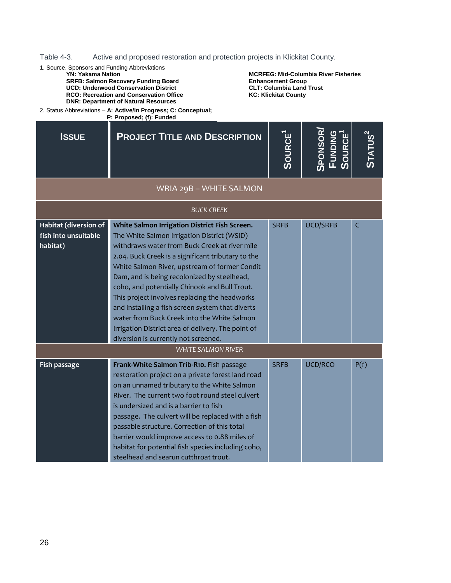Table 4-3. Active and proposed restoration and protection projects in Klickitat County.

1. Source, Sponsors and Funding Abbreviations

#### **YN: Yakama Nation**

**SRFB: Salmon Recovery Funding Board UCD: Underwood Conservation District RCO: Recreation and Conservation Office**

**DNR: Department of Natural Resources**

**MCRFEG: Mid-Columbia River Fisheries Enhancement Group CLT: Columbia Land Trust KC: Klickitat County** 

2. Status Abbreviations – **A: Active/In Progress; C: Conceptual; P: Proposed; (f): Funded**

| <b>ISSUE</b>                                              | <b>PROJECT TITLE AND DESCRIPTION</b>                                                                                                                                                                                                                                                                                                                                                                                                                                                                                                                                                                   | <b>SOURCE</b> <sup>1</sup> | Sponsor/<br>Funding<br>Source <sup>1</sup> | <b>STATUS<sup>2</sup></b> |
|-----------------------------------------------------------|--------------------------------------------------------------------------------------------------------------------------------------------------------------------------------------------------------------------------------------------------------------------------------------------------------------------------------------------------------------------------------------------------------------------------------------------------------------------------------------------------------------------------------------------------------------------------------------------------------|----------------------------|--------------------------------------------|---------------------------|
|                                                           | WRIA 29B - WHITE SALMON                                                                                                                                                                                                                                                                                                                                                                                                                                                                                                                                                                                |                            |                                            |                           |
|                                                           | <b>BUCK CREEK</b>                                                                                                                                                                                                                                                                                                                                                                                                                                                                                                                                                                                      |                            |                                            |                           |
| Habitat (diversion of<br>fish into unsuitable<br>habitat) | White Salmon Irrigation District Fish Screen.<br>The White Salmon Irrigation District (WSID)<br>withdraws water from Buck Creek at river mile<br>2.04. Buck Creek is a significant tributary to the<br>White Salmon River, upstream of former Condit<br>Dam, and is being recolonized by steelhead,<br>coho, and potentially Chinook and Bull Trout.<br>This project involves replacing the headworks<br>and installing a fish screen system that diverts<br>water from Buck Creek into the White Salmon<br>Irrigation District area of delivery. The point of<br>diversion is currently not screened. | <b>SRFB</b>                | <b>UCD/SRFB</b>                            | C                         |
|                                                           | <b>WHITE SALMON RIVER</b>                                                                                                                                                                                                                                                                                                                                                                                                                                                                                                                                                                              |                            |                                            |                           |
| Fish passage                                              | Frank-White Salmon Trib-R10. Fish passage<br>restoration project on a private forest land road<br>on an unnamed tributary to the White Salmon<br>River. The current two foot round steel culvert<br>is undersized and is a barrier to fish<br>passage. The culvert will be replaced with a fish<br>passable structure. Correction of this total<br>barrier would improve access to 0.88 miles of<br>habitat for potential fish species including coho,<br>steelhead and searun cutthroat trout.                                                                                                        | <b>SRFB</b>                | UCD/RCO                                    | P(f)                      |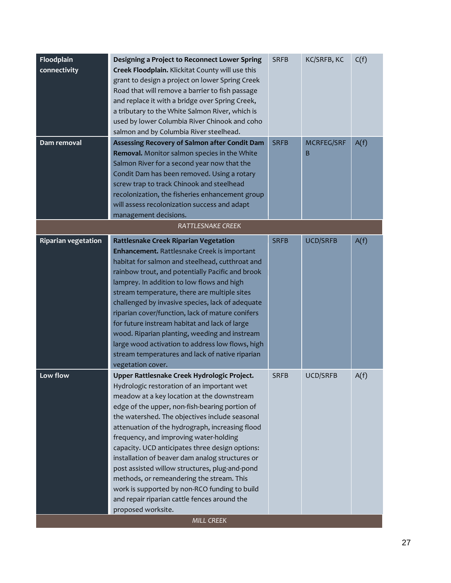| Floodplain<br>connectivity<br>Dam removal | Designing a Project to Reconnect Lower Spring<br>Creek Floodplain. Klickitat County will use this<br>grant to design a project on lower Spring Creek<br>Road that will remove a barrier to fish passage<br>and replace it with a bridge over Spring Creek,<br>a tributary to the White Salmon River, which is<br>used by lower Columbia River Chinook and coho<br>salmon and by Columbia River steelhead.<br>Assessing Recovery of Salmon after Condit Dam<br>Removal. Monitor salmon species in the White<br>Salmon River for a second year now that the<br>Condit Dam has been removed. Using a rotary<br>screw trap to track Chinook and steelhead<br>recolonization, the fisheries enhancement group<br>will assess recolonization success and adapt | <b>SRFB</b><br><b>SRFB</b> | KC/SRFB, KC<br><b>MCRFEG/SRF</b><br>B | C(f)<br>A(f) |
|-------------------------------------------|----------------------------------------------------------------------------------------------------------------------------------------------------------------------------------------------------------------------------------------------------------------------------------------------------------------------------------------------------------------------------------------------------------------------------------------------------------------------------------------------------------------------------------------------------------------------------------------------------------------------------------------------------------------------------------------------------------------------------------------------------------|----------------------------|---------------------------------------|--------------|
|                                           | management decisions.                                                                                                                                                                                                                                                                                                                                                                                                                                                                                                                                                                                                                                                                                                                                    |                            |                                       |              |
|                                           | RATTLESNAKE CREEK                                                                                                                                                                                                                                                                                                                                                                                                                                                                                                                                                                                                                                                                                                                                        |                            |                                       |              |
| <b>Riparian vegetation</b>                | <b>Rattlesnake Creek Riparian Vegetation</b><br>Enhancement. Rattlesnake Creek is important<br>habitat for salmon and steelhead, cutthroat and<br>rainbow trout, and potentially Pacific and brook<br>lamprey. In addition to low flows and high<br>stream temperature, there are multiple sites<br>challenged by invasive species, lack of adequate<br>riparian cover/function, lack of mature conifers<br>for future instream habitat and lack of large<br>wood. Riparian planting, weeding and instream<br>large wood activation to address low flows, high<br>stream temperatures and lack of native riparian<br>vegetation cover.                                                                                                                   | <b>SRFB</b>                | <b>UCD/SRFB</b>                       | A(f)         |
| Low flow                                  | Upper Rattlesnake Creek Hydrologic Project.<br>Hydrologic restoration of an important wet<br>meadow at a key location at the downstream<br>edge of the upper, non-fish-bearing portion of<br>the watershed. The objectives include seasonal<br>attenuation of the hydrograph, increasing flood<br>frequency, and improving water-holding<br>capacity. UCD anticipates three design options:<br>installation of beaver dam analog structures or<br>post assisted willow structures, plug-and-pond<br>methods, or remeandering the stream. This<br>work is supported by non-RCO funding to build<br>and repair riparian cattle fences around the<br>proposed worksite.                                                                                     | <b>SRFB</b>                | UCD/SRFB                              | A(f)         |
|                                           | <b>MILL CREEK</b>                                                                                                                                                                                                                                                                                                                                                                                                                                                                                                                                                                                                                                                                                                                                        |                            |                                       |              |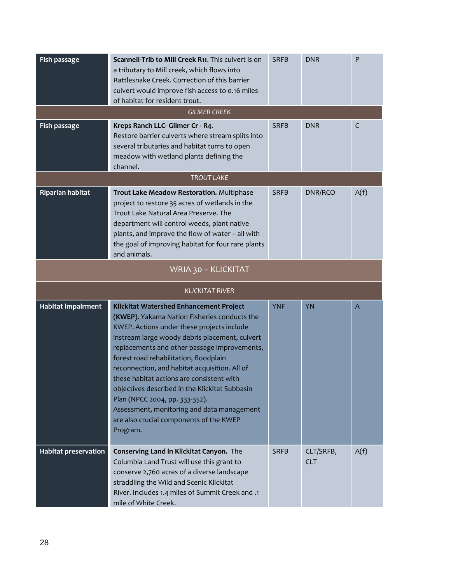| Fish passage<br>Fish passage | Scannell-Trib to Mill Creek R11. This culvert is on<br>a tributary to Mill creek, which flows into<br>Rattlesnake Creek. Correction of this barrier<br>culvert would improve fish access to 0.16 miles<br>of habitat for resident trout.<br><b>GILMER CREEK</b><br>Kreps Ranch LLC- Gilmer Cr - R4.<br>Restore barrier culverts where stream splits into<br>several tributaries and habitat turns to open<br>meadow with wetland plants defining the<br>channel.                                                                                                         | <b>SRFB</b><br><b>SRFB</b> | <b>DNR</b><br><b>DNR</b> | $\mathsf{P}$<br>C |
|------------------------------|--------------------------------------------------------------------------------------------------------------------------------------------------------------------------------------------------------------------------------------------------------------------------------------------------------------------------------------------------------------------------------------------------------------------------------------------------------------------------------------------------------------------------------------------------------------------------|----------------------------|--------------------------|-------------------|
|                              | <b>TROUT LAKE</b>                                                                                                                                                                                                                                                                                                                                                                                                                                                                                                                                                        |                            |                          |                   |
| <b>Riparian habitat</b>      | Trout Lake Meadow Restoration. Multiphase<br>project to restore 35 acres of wetlands in the<br>Trout Lake Natural Area Preserve. The<br>department will control weeds, plant native<br>plants, and improve the flow of water - all with<br>the goal of improving habitat for four rare plants<br>and animals.                                                                                                                                                                                                                                                            | <b>SRFB</b>                | DNR/RCO                  | A(f)              |
|                              | WRIA 30 - KLICKITAT                                                                                                                                                                                                                                                                                                                                                                                                                                                                                                                                                      |                            |                          |                   |
|                              | <b>KLICKITAT RIVER</b>                                                                                                                                                                                                                                                                                                                                                                                                                                                                                                                                                   |                            |                          |                   |
| Habitat impairment           | Klickitat Watershed Enhancement Project<br>(KWEP). Yakama Nation Fisheries conducts the<br>KWEP. Actions under these projects include<br>instream large woody debris placement, culvert<br>replacements and other passage improvements,<br>forest road rehabilitation, floodplain<br>reconnection, and habitat acquisition. All of<br>these habitat actions are consistent with<br>objectives described in the Klickitat Subbasin<br>Plan (NPCC 2004, pp. 333-352).<br>Assessment, monitoring and data management<br>are also crucial components of the KWEP<br>Program. | <b>YNF</b>                 | <b>YN</b>                | $\overline{A}$    |
| <b>Habitat preservation</b>  | Conserving Land in Klickitat Canyon. The<br>Columbia Land Trust will use this grant to<br>conserve 2,760 acres of a diverse landscape<br>straddling the Wild and Scenic Klickitat<br>River. Includes 1.4 miles of Summit Creek and .1<br>mile of White Creek.                                                                                                                                                                                                                                                                                                            | <b>SRFB</b>                | CLT/SRFB,<br><b>CLT</b>  | A(f)              |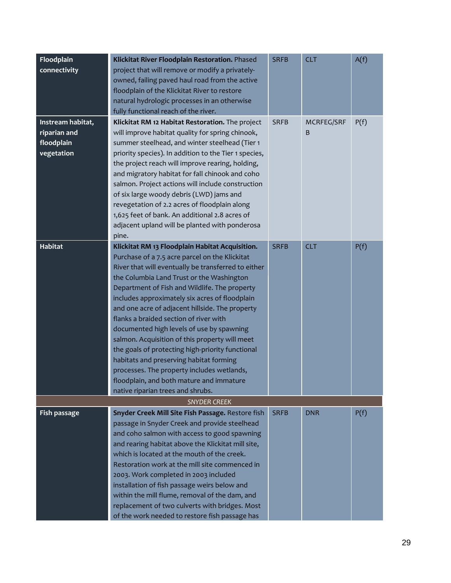| Floodplain<br>connectivity                                    | Klickitat River Floodplain Restoration. Phased<br>project that will remove or modify a privately-<br>owned, failing paved haul road from the active<br>floodplain of the Klickitat River to restore<br>natural hydrologic processes in an otherwise<br>fully functional reach of the river.                                                                                                                                                                                                                                                                                                                                                                                                                                        | <b>SRFB</b> | <b>CLT</b>      | A(f) |
|---------------------------------------------------------------|------------------------------------------------------------------------------------------------------------------------------------------------------------------------------------------------------------------------------------------------------------------------------------------------------------------------------------------------------------------------------------------------------------------------------------------------------------------------------------------------------------------------------------------------------------------------------------------------------------------------------------------------------------------------------------------------------------------------------------|-------------|-----------------|------|
| Instream habitat,<br>riparian and<br>floodplain<br>vegetation | Klickitat RM 12 Habitat Restoration. The project<br>will improve habitat quality for spring chinook,<br>summer steelhead, and winter steelhead (Tier 1<br>priority species). In addition to the Tier 1 species,<br>the project reach will improve rearing, holding,<br>and migratory habitat for fall chinook and coho<br>salmon. Project actions will include construction<br>of six large woody debris (LWD) jams and<br>revegetation of 2.2 acres of floodplain along<br>1,625 feet of bank. An additional 2.8 acres of<br>adjacent upland will be planted with ponderosa<br>pine.                                                                                                                                              | <b>SRFB</b> | MCRFEG/SRF<br>B | P(f) |
| Habitat                                                       | Klickitat RM 13 Floodplain Habitat Acquisition.<br>Purchase of a 7.5 acre parcel on the Klickitat<br>River that will eventually be transferred to either<br>the Columbia Land Trust or the Washington<br>Department of Fish and Wildlife. The property<br>includes approximately six acres of floodplain<br>and one acre of adjacent hillside. The property<br>flanks a braided section of river with<br>documented high levels of use by spawning<br>salmon. Acquisition of this property will meet<br>the goals of protecting high-priority functional<br>habitats and preserving habitat forming<br>processes. The property includes wetlands,<br>floodplain, and both mature and immature<br>native riparian trees and shrubs. | <b>SRFB</b> | <b>CLT</b>      | P(f) |
| <b>SNYDER CREEK</b>                                           |                                                                                                                                                                                                                                                                                                                                                                                                                                                                                                                                                                                                                                                                                                                                    |             |                 |      |
| Fish passage                                                  | Snyder Creek Mill Site Fish Passage. Restore fish<br>passage in Snyder Creek and provide steelhead<br>and coho salmon with access to good spawning<br>and rearing habitat above the Klickitat mill site,<br>which is located at the mouth of the creek.<br>Restoration work at the mill site commenced in<br>2003. Work completed in 2003 included<br>installation of fish passage weirs below and<br>within the mill flume, removal of the dam, and<br>replacement of two culverts with bridges. Most<br>of the work needed to restore fish passage has                                                                                                                                                                           | <b>SRFB</b> | <b>DNR</b>      | P(f) |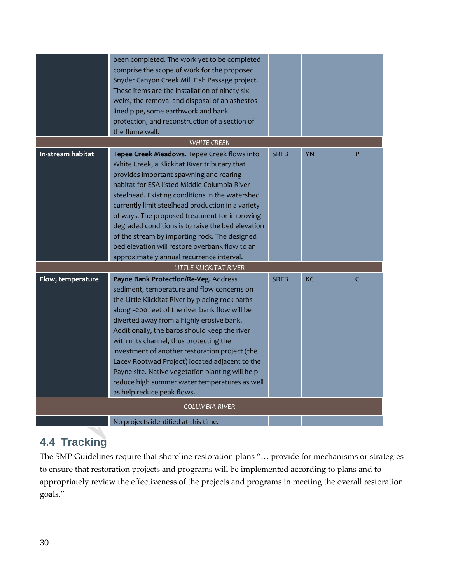|                       | been completed. The work yet to be completed<br>comprise the scope of work for the proposed<br>Snyder Canyon Creek Mill Fish Passage project.<br>These items are the installation of ninety-six<br>weirs, the removal and disposal of an asbestos<br>lined pipe, some earthwork and bank<br>protection, and reconstruction of a section of<br>the flume wall.                                                                                                                                                                                                             |             |           |   |
|-----------------------|---------------------------------------------------------------------------------------------------------------------------------------------------------------------------------------------------------------------------------------------------------------------------------------------------------------------------------------------------------------------------------------------------------------------------------------------------------------------------------------------------------------------------------------------------------------------------|-------------|-----------|---|
|                       | <b>WHITE CREEK</b>                                                                                                                                                                                                                                                                                                                                                                                                                                                                                                                                                        |             |           |   |
| In-stream habitat     | Tepee Creek Meadows. Tepee Creek flows into<br>White Creek, a Klickitat River tributary that<br>provides important spawning and rearing<br>habitat for ESA-listed Middle Columbia River<br>steelhead. Existing conditions in the watershed<br>currently limit steelhead production in a variety<br>of ways. The proposed treatment for improving<br>degraded conditions is to raise the bed elevation<br>of the stream by importing rock. The designed<br>bed elevation will restore overbank flow to an<br>approximately annual recurrence interval.                     | <b>SRFB</b> | <b>YN</b> | P |
|                       | <b>LITTLE KLICKITAT RIVER</b>                                                                                                                                                                                                                                                                                                                                                                                                                                                                                                                                             |             |           |   |
| Flow, temperature     | Payne Bank Protection/Re-Veg. Address<br>sediment, temperature and flow concerns on<br>the Little Klickitat River by placing rock barbs<br>along ~200 feet of the river bank flow will be<br>diverted away from a highly erosive bank.<br>Additionally, the barbs should keep the river<br>within its channel, thus protecting the<br>investment of another restoration project (the<br>Lacey Rootwad Project) located adjacent to the<br>Payne site. Native vegetation planting will help<br>reduce high summer water temperatures as well<br>as help reduce peak flows. | <b>SRFB</b> | KC        | C |
| <b>COLUMBIA RIVER</b> |                                                                                                                                                                                                                                                                                                                                                                                                                                                                                                                                                                           |             |           |   |
|                       |                                                                                                                                                                                                                                                                                                                                                                                                                                                                                                                                                                           |             |           |   |
|                       | No projects identified at this time.                                                                                                                                                                                                                                                                                                                                                                                                                                                                                                                                      |             |           |   |

## <span id="page-35-0"></span>**4.4 Tracking**

The SMP Guidelines require that shoreline restoration plans "… provide for mechanisms or strategies to ensure that restoration projects and programs will be implemented according to plans and to appropriately review the effectiveness of the projects and programs in meeting the overall restoration goals."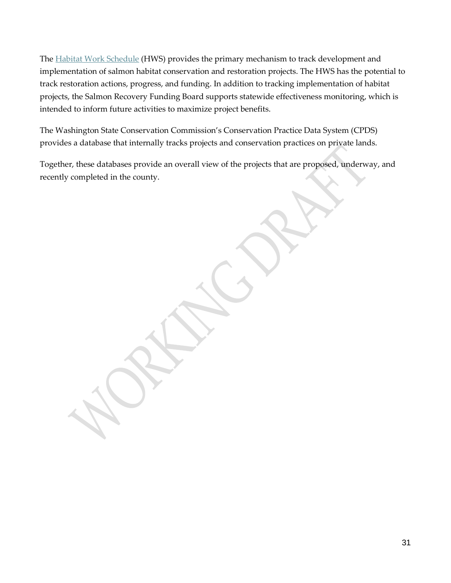The **Habitat Work Schedule** (HWS) provides the primary mechanism to track development and implementation of salmon habitat conservation and restoration projects. The HWS has the potential to track restoration actions, progress, and funding. In addition to tracking implementation of habitat projects, the Salmon Recovery Funding Board supports statewide effectiveness monitoring, which is intended to inform future activities to maximize project benefits.

The Washington State Conservation Commission's Conservation Practice Data System (CPDS) provides a database that internally tracks projects and conservation practices on private lands.

Together, these databases provide an overall view of the projects that are proposed, underway, and recently completed in the county.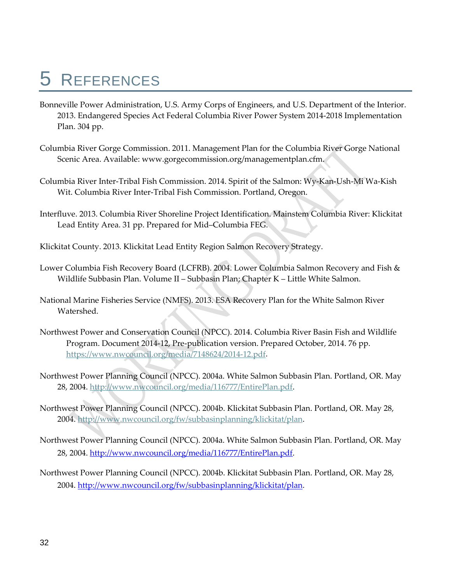# <span id="page-37-0"></span>5 REFERENCES

- Bonneville Power Administration, U.S. Army Corps of Engineers, and U.S. Department of the Interior. 2013. Endangered Species Act Federal Columbia River Power System 2014-2018 Implementation Plan. 304 pp.
- Columbia River Gorge Commission. 2011. Management Plan for the Columbia River Gorge National Scenic Area. Available: www.gorgecommission.org/managementplan.cfm.
- Columbia River Inter-Tribal Fish Commission. 2014. Spirit of the Salmon: Wy-Kan-Ush-Mi Wa-Kish Wit. Columbia River Inter-Tribal Fish Commission. Portland, Oregon.
- Interfluve. 2013. Columbia River Shoreline Project Identification. Mainstem Columbia River: Klickitat Lead Entity Area. 31 pp. Prepared for Mid–Columbia FEG.
- Klickitat County. 2013. Klickitat Lead Entity Region Salmon Recovery Strategy.
- Lower Columbia Fish Recovery Board (LCFRB). 2004. Lower Columbia Salmon Recovery and Fish & Wildlife Subbasin Plan. Volume II – Subbasin Plan; Chapter K – Little White Salmon.
- National Marine Fisheries Service (NMFS). 2013. ESA Recovery Plan for the White Salmon River Watershed.
- Northwest Power and Conservation Council (NPCC). 2014. Columbia River Basin Fish and Wildlife Program. Document 2014-12, Pre-publication version. Prepared October, 2014. 76 pp. [https://www.nwcouncil.org/media/7148624/2014-12.pdf.](https://www.nwcouncil.org/media/7148624/2014-12.pdf)
- Northwest Power Planning Council (NPCC). 2004a. White Salmon Subbasin Plan. Portland, OR. May 28, 2004. [http://www.nwcouncil.org/media/116777/EntirePlan.pdf.](http://www.nwcouncil.org/media/116777/EntirePlan.pdf)
- Northwest Power Planning Council (NPCC). 2004b. Klickitat Subbasin Plan. Portland, OR. May 28, 2004. [http://www.nwcouncil.org/fw/subbasinplanning/klickitat/plan.](http://www.nwcouncil.org/fw/subbasinplanning/klickitat/plan)
- Northwest Power Planning Council (NPCC). 2004a. White Salmon Subbasin Plan. Portland, OR. May 28, 2004. [http://www.nwcouncil.org/media/116777/EntirePlan.pdf.](http://www.nwcouncil.org/media/116777/EntirePlan.pdf)
- Northwest Power Planning Council (NPCC). 2004b. Klickitat Subbasin Plan. Portland, OR. May 28, 2004. [http://www.nwcouncil.org/fw/subbasinplanning/klickitat/plan.](http://www.nwcouncil.org/fw/subbasinplanning/klickitat/plan)